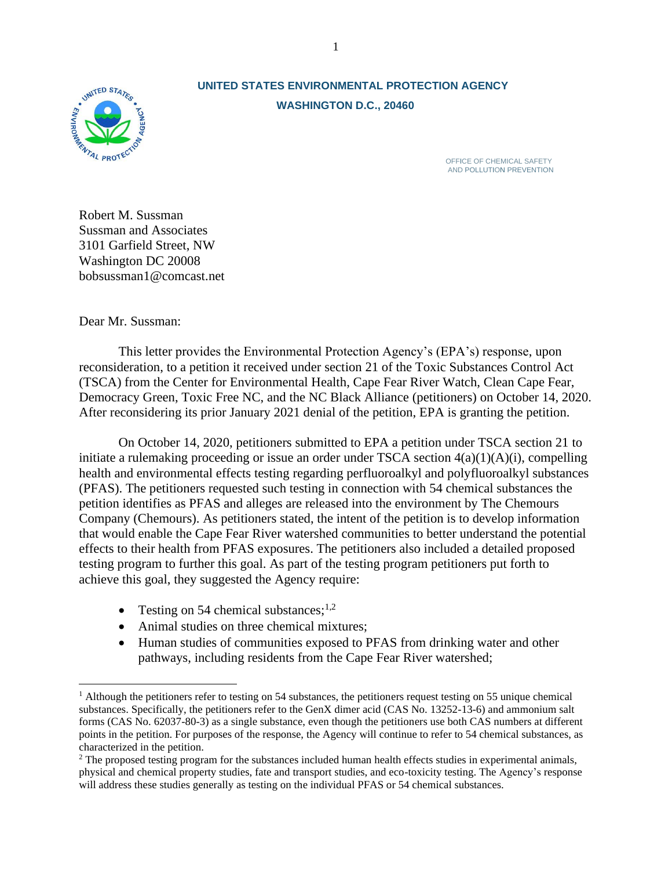

# **UNITED STATES ENVIRONMENTAL PROTECTION AGENCY WASHINGTON D.C., 20460**

OFFICE OF CHEMICAL SAFETY AND POLLUTION PREVENTION

Robert M. Sussman Sussman and Associates 3101 Garfield Street, NW Washington DC 20008 bobsussman1@comcast.net

Dear Mr. Sussman:

This letter provides the Environmental Protection Agency's (EPA's) response, upon reconsideration, to a petition it received under section 21 of the Toxic Substances Control Act (TSCA) from the Center for Environmental Health, Cape Fear River Watch, Clean Cape Fear, Democracy Green, Toxic Free NC, and the NC Black Alliance (petitioners) on October 14, 2020. After reconsidering its prior January 2021 denial of the petition, EPA is granting the petition.

On October 14, 2020, petitioners submitted to EPA a petition under TSCA section 21 to initiate a rulemaking proceeding or issue an order under TSCA section  $4(a)(1)(A)(i)$ , compelling health and environmental effects testing regarding perfluoroalkyl and polyfluoroalkyl substances (PFAS). The petitioners requested such testing in connection with 54 chemical substances the petition identifies as PFAS and alleges are released into the environment by The Chemours Company (Chemours). As petitioners stated, the intent of the petition is to develop information that would enable the Cape Fear River watershed communities to better understand the potential effects to their health from PFAS exposures. The petitioners also included a detailed proposed testing program to further this goal. As part of the testing program petitioners put forth to achieve this goal, they suggested the Agency require:

- Testing on 54 chemical substances; $^{1,2}$
- Animal studies on three chemical mixtures;
- Human studies of communities exposed to PFAS from drinking water and other pathways, including residents from the Cape Fear River watershed;

<sup>&</sup>lt;sup>1</sup> Although the petitioners refer to testing on 54 substances, the petitioners request testing on 55 unique chemical substances. Specifically, the petitioners refer to the GenX dimer acid (CAS No. 13252-13-6) and ammonium salt forms (CAS No. 62037-80-3) as a single substance, even though the petitioners use both CAS numbers at different points in the petition. For purposes of the response, the Agency will continue to refer to 54 chemical substances, as characterized in the petition.

<sup>&</sup>lt;sup>2</sup> The proposed testing program for the substances included human health effects studies in experimental animals, physical and chemical property studies, fate and transport studies, and eco-toxicity testing. The Agency's response will address these studies generally as testing on the individual PFAS or 54 chemical substances.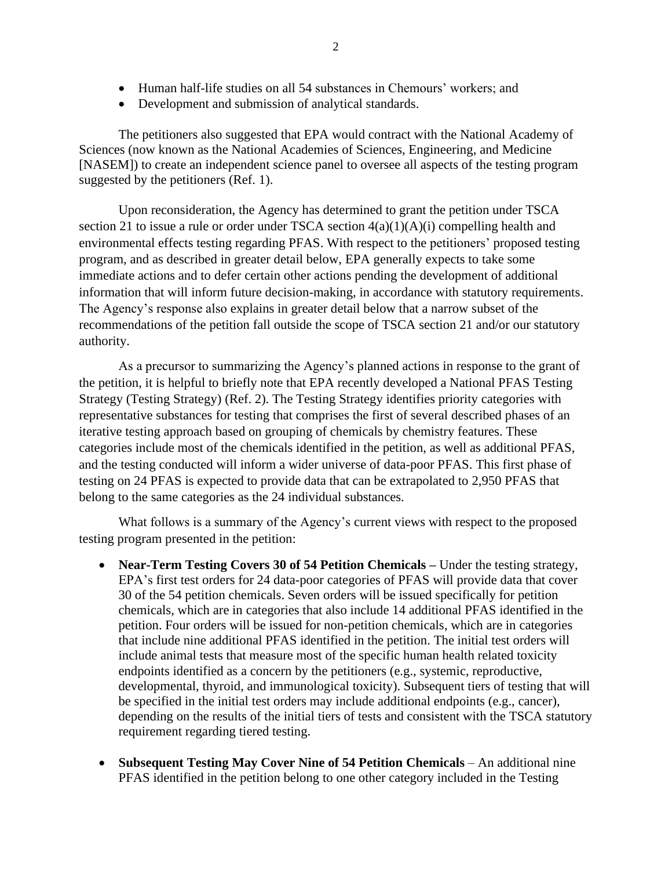- Human half-life studies on all 54 substances in Chemours' workers; and
- Development and submission of analytical standards.

The petitioners also suggested that EPA would contract with the National Academy of Sciences (now known as the National Academies of Sciences, Engineering, and Medicine [NASEM]) to create an independent science panel to oversee all aspects of the testing program suggested by the petitioners (Ref. 1).

Upon reconsideration, the Agency has determined to grant the petition under TSCA section 21 to issue a rule or order under TSCA section 4(a)(1)(A)(i) compelling health and environmental effects testing regarding PFAS. With respect to the petitioners' proposed testing program, and as described in greater detail below, EPA generally expects to take some immediate actions and to defer certain other actions pending the development of additional information that will inform future decision-making, in accordance with statutory requirements. The Agency's response also explains in greater detail below that a narrow subset of the recommendations of the petition fall outside the scope of TSCA section 21 and/or our statutory authority.

As a precursor to summarizing the Agency's planned actions in response to the grant of the petition, it is helpful to briefly note that EPA recently developed a National PFAS Testing Strategy (Testing Strategy) (Ref. 2). The Testing Strategy identifies priority categories with representative substances for testing that comprises the first of several described phases of an iterative testing approach based on grouping of chemicals by chemistry features. These categories include most of the chemicals identified in the petition, as well as additional PFAS, and the testing conducted will inform a wider universe of data-poor PFAS. This first phase of testing on 24 PFAS is expected to provide data that can be extrapolated to 2,950 PFAS that belong to the same categories as the 24 individual substances.

What follows is a summary of the Agency's current views with respect to the proposed testing program presented in the petition:

- **Near-Term Testing Covers 30 of 54 Petition Chemicals Under the testing strategy,** EPA's first test orders for 24 data-poor categories of PFAS will provide data that cover 30 of the 54 petition chemicals. Seven orders will be issued specifically for petition chemicals, which are in categories that also include 14 additional PFAS identified in the petition. Four orders will be issued for non-petition chemicals, which are in categories that include nine additional PFAS identified in the petition. The initial test orders will include animal tests that measure most of the specific human health related toxicity endpoints identified as a concern by the petitioners (e.g., systemic, reproductive, developmental, thyroid, and immunological toxicity). Subsequent tiers of testing that will be specified in the initial test orders may include additional endpoints (e.g., cancer), depending on the results of the initial tiers of tests and consistent with the TSCA statutory requirement regarding tiered testing.
- **Subsequent Testing May Cover Nine of 54 Petition Chemicals** An additional nine PFAS identified in the petition belong to one other category included in the Testing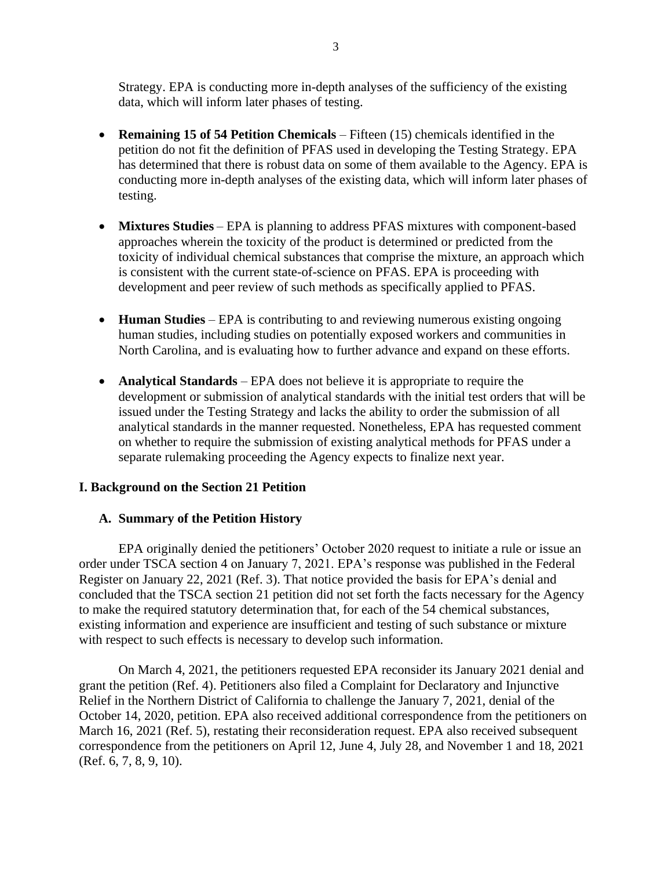Strategy. EPA is conducting more in-depth analyses of the sufficiency of the existing data, which will inform later phases of testing.

- **Remaining 15 of 54 Petition Chemicals** Fifteen (15) chemicals identified in the petition do not fit the definition of PFAS used in developing the Testing Strategy. EPA has determined that there is robust data on some of them available to the Agency. EPA is conducting more in-depth analyses of the existing data, which will inform later phases of testing.
- **Mixtures Studies** EPA is planning to address PFAS mixtures with component-based approaches wherein the toxicity of the product is determined or predicted from the toxicity of individual chemical substances that comprise the mixture, an approach which is consistent with the current state-of-science on PFAS. EPA is proceeding with development and peer review of such methods as specifically applied to PFAS.
- **Human Studies** EPA is contributing to and reviewing numerous existing ongoing human studies, including studies on potentially exposed workers and communities in North Carolina, and is evaluating how to further advance and expand on these efforts.
- **Analytical Standards** EPA does not believe it is appropriate to require the development or submission of analytical standards with the initial test orders that will be issued under the Testing Strategy and lacks the ability to order the submission of all analytical standards in the manner requested. Nonetheless, EPA has requested comment on whether to require the submission of existing analytical methods for PFAS under a separate rulemaking proceeding the Agency expects to finalize next year.

# **I. Background on the Section 21 Petition**

# **A. Summary of the Petition History**

EPA originally denied the petitioners' October 2020 request to initiate a rule or issue an order under TSCA section 4 on January 7, 2021. EPA's response was published in the Federal Register on January 22, 2021 (Ref. 3). That notice provided the basis for EPA's denial and concluded that the TSCA section 21 petition did not set forth the facts necessary for the Agency to make the required statutory determination that, for each of the 54 chemical substances, existing information and experience are insufficient and testing of such substance or mixture with respect to such effects is necessary to develop such information.

On March 4, 2021, the petitioners requested EPA reconsider its January 2021 denial and grant the petition (Ref. 4). Petitioners also filed a Complaint for Declaratory and Injunctive Relief in the Northern District of California to challenge the January 7, 2021, denial of the October 14, 2020, petition. EPA also received additional correspondence from the petitioners on March 16, 2021 (Ref. 5), restating their reconsideration request. EPA also received subsequent correspondence from the petitioners on April 12, June 4, July 28, and November 1 and 18, 2021 (Ref. 6, 7, 8, 9, 10).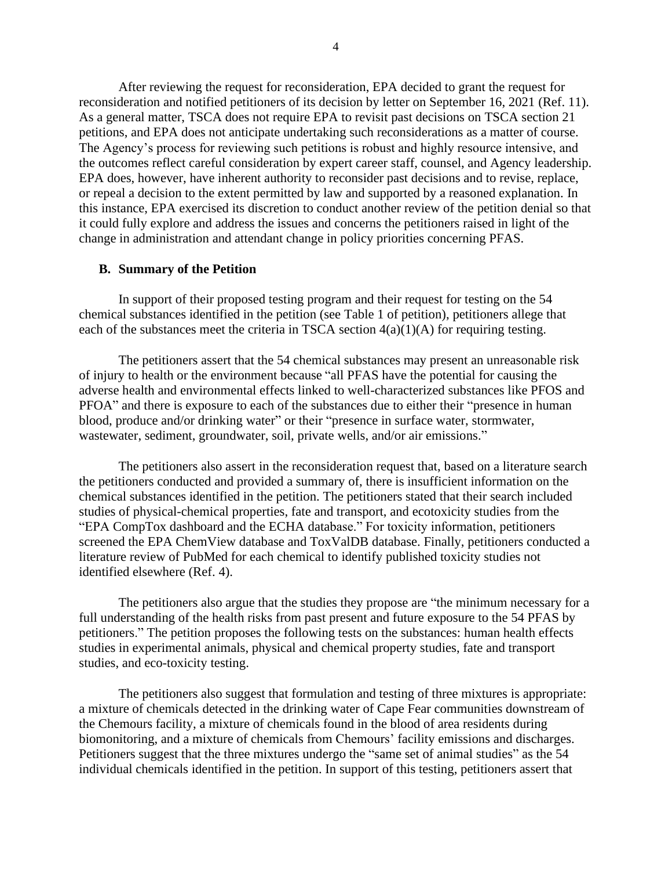After reviewing the request for reconsideration, EPA decided to grant the request for reconsideration and notified petitioners of its decision by letter on September 16, 2021 (Ref. 11). As a general matter, TSCA does not require EPA to revisit past decisions on TSCA section 21 petitions, and EPA does not anticipate undertaking such reconsiderations as a matter of course. The Agency's process for reviewing such petitions is robust and highly resource intensive, and the outcomes reflect careful consideration by expert career staff, counsel, and Agency leadership. EPA does, however, have inherent authority to reconsider past decisions and to revise, replace, or repeal a decision to the extent permitted by law and supported by a reasoned explanation. In this instance, EPA exercised its discretion to conduct another review of the petition denial so that it could fully explore and address the issues and concerns the petitioners raised in light of the change in administration and attendant change in policy priorities concerning PFAS.

#### **B. Summary of the Petition**

In support of their proposed testing program and their request for testing on the 54 chemical substances identified in the petition (see Table 1 of petition), petitioners allege that each of the substances meet the criteria in TSCA section  $4(a)(1)(A)$  for requiring testing.

The petitioners assert that the 54 chemical substances may present an unreasonable risk of injury to health or the environment because "all PFAS have the potential for causing the adverse health and environmental effects linked to well-characterized substances like PFOS and PFOA" and there is exposure to each of the substances due to either their "presence in human blood, produce and/or drinking water" or their "presence in surface water, stormwater, wastewater, sediment, groundwater, soil, private wells, and/or air emissions."

The petitioners also assert in the reconsideration request that, based on a literature search the petitioners conducted and provided a summary of, there is insufficient information on the chemical substances identified in the petition. The petitioners stated that their search included studies of physical-chemical properties, fate and transport, and ecotoxicity studies from the "EPA CompTox dashboard and the ECHA database." For toxicity information, petitioners screened the EPA ChemView database and ToxValDB database. Finally, petitioners conducted a literature review of PubMed for each chemical to identify published toxicity studies not identified elsewhere (Ref. 4).

The petitioners also argue that the studies they propose are "the minimum necessary for a full understanding of the health risks from past present and future exposure to the 54 PFAS by petitioners." The petition proposes the following tests on the substances: human health effects studies in experimental animals, physical and chemical property studies, fate and transport studies, and eco-toxicity testing.

The petitioners also suggest that formulation and testing of three mixtures is appropriate: a mixture of chemicals detected in the drinking water of Cape Fear communities downstream of the Chemours facility, a mixture of chemicals found in the blood of area residents during biomonitoring, and a mixture of chemicals from Chemours' facility emissions and discharges. Petitioners suggest that the three mixtures undergo the "same set of animal studies" as the 54 individual chemicals identified in the petition. In support of this testing, petitioners assert that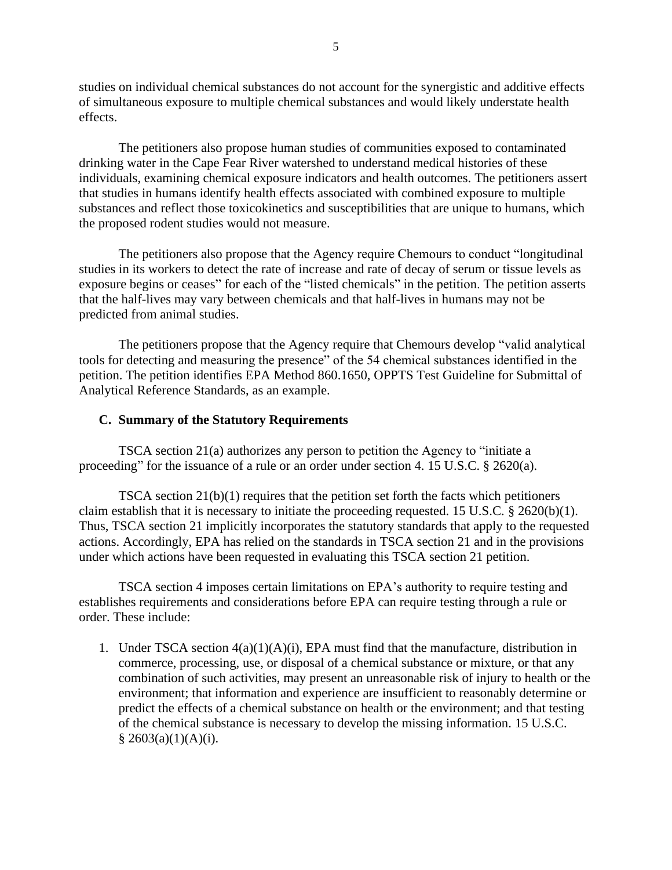studies on individual chemical substances do not account for the synergistic and additive effects of simultaneous exposure to multiple chemical substances and would likely understate health effects.

The petitioners also propose human studies of communities exposed to contaminated drinking water in the Cape Fear River watershed to understand medical histories of these individuals, examining chemical exposure indicators and health outcomes. The petitioners assert that studies in humans identify health effects associated with combined exposure to multiple substances and reflect those toxicokinetics and susceptibilities that are unique to humans, which the proposed rodent studies would not measure.

The petitioners also propose that the Agency require Chemours to conduct "longitudinal studies in its workers to detect the rate of increase and rate of decay of serum or tissue levels as exposure begins or ceases" for each of the "listed chemicals" in the petition. The petition asserts that the half-lives may vary between chemicals and that half-lives in humans may not be predicted from animal studies.

The petitioners propose that the Agency require that Chemours develop "valid analytical tools for detecting and measuring the presence" of the 54 chemical substances identified in the petition. The petition identifies EPA Method 860.1650, OPPTS Test Guideline for Submittal of Analytical Reference Standards, as an example.

#### **C. Summary of the Statutory Requirements**

TSCA section 21(a) authorizes any person to petition the Agency to "initiate a proceeding" for the issuance of a rule or an order under section 4. 15 U.S.C. § 2620(a).

TSCA section 21(b)(1) requires that the petition set forth the facts which petitioners claim establish that it is necessary to initiate the proceeding requested. 15 U.S.C. § 2620(b)(1). Thus, TSCA section 21 implicitly incorporates the statutory standards that apply to the requested actions. Accordingly, EPA has relied on the standards in TSCA section 21 and in the provisions under which actions have been requested in evaluating this TSCA section 21 petition.

TSCA section 4 imposes certain limitations on EPA's authority to require testing and establishes requirements and considerations before EPA can require testing through a rule or order. These include:

1. Under TSCA section 4(a)(1)(A)(i), EPA must find that the manufacture, distribution in commerce, processing, use, or disposal of a chemical substance or mixture, or that any combination of such activities, may present an unreasonable risk of injury to health or the environment; that information and experience are insufficient to reasonably determine or predict the effects of a chemical substance on health or the environment; and that testing of the chemical substance is necessary to develop the missing information. 15 U.S.C.  $§ 2603(a)(1)(A)(i).$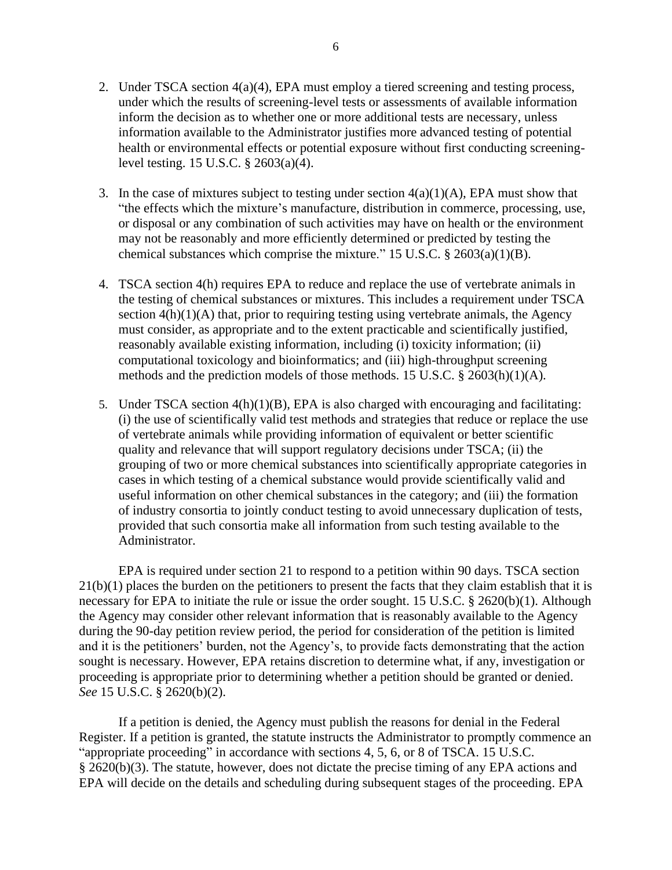- 2. Under TSCA section 4(a)(4), EPA must employ a tiered screening and testing process, under which the results of screening-level tests or assessments of available information inform the decision as to whether one or more additional tests are necessary, unless information available to the Administrator justifies more advanced testing of potential health or environmental effects or potential exposure without first conducting screeninglevel testing. 15 U.S.C. § 2603(a)(4).
- 3. In the case of mixtures subject to testing under section  $4(a)(1)(A)$ , EPA must show that "the effects which the mixture's manufacture, distribution in commerce, processing, use, or disposal or any combination of such activities may have on health or the environment may not be reasonably and more efficiently determined or predicted by testing the chemical substances which comprise the mixture." 15 U.S.C.  $\S$  2603(a)(1)(B).
- 4. TSCA section 4(h) requires EPA to reduce and replace the use of vertebrate animals in the testing of chemical substances or mixtures. This includes a requirement under TSCA section  $4(h)(1)(A)$  that, prior to requiring testing using vertebrate animals, the Agency must consider, as appropriate and to the extent practicable and scientifically justified, reasonably available existing information, including (i) toxicity information; (ii) computational toxicology and bioinformatics; and (iii) high-throughput screening methods and the prediction models of those methods. 15 U.S.C. § 2603(h)(1)(A).
- 5. Under TSCA section 4(h)(1)(B), EPA is also charged with encouraging and facilitating: (i) the use of scientifically valid test methods and strategies that reduce or replace the use of vertebrate animals while providing information of equivalent or better scientific quality and relevance that will support regulatory decisions under TSCA; (ii) the grouping of two or more chemical substances into scientifically appropriate categories in cases in which testing of a chemical substance would provide scientifically valid and useful information on other chemical substances in the category; and (iii) the formation of industry consortia to jointly conduct testing to avoid unnecessary duplication of tests, provided that such consortia make all information from such testing available to the Administrator.

EPA is required under section 21 to respond to a petition within 90 days. TSCA section 21(b)(1) places the burden on the petitioners to present the facts that they claim establish that it is necessary for EPA to initiate the rule or issue the order sought. 15 U.S.C. § 2620(b)(1). Although the Agency may consider other relevant information that is reasonably available to the Agency during the 90-day petition review period, the period for consideration of the petition is limited and it is the petitioners' burden, not the Agency's, to provide facts demonstrating that the action sought is necessary. However, EPA retains discretion to determine what, if any, investigation or proceeding is appropriate prior to determining whether a petition should be granted or denied. *See* 15 U.S.C. § 2620(b)(2).

If a petition is denied, the Agency must publish the reasons for denial in the Federal Register. If a petition is granted, the statute instructs the Administrator to promptly commence an "appropriate proceeding" in accordance with sections 4, 5, 6, or 8 of TSCA. 15 U.S.C. § 2620(b)(3). The statute, however, does not dictate the precise timing of any EPA actions and EPA will decide on the details and scheduling during subsequent stages of the proceeding. EPA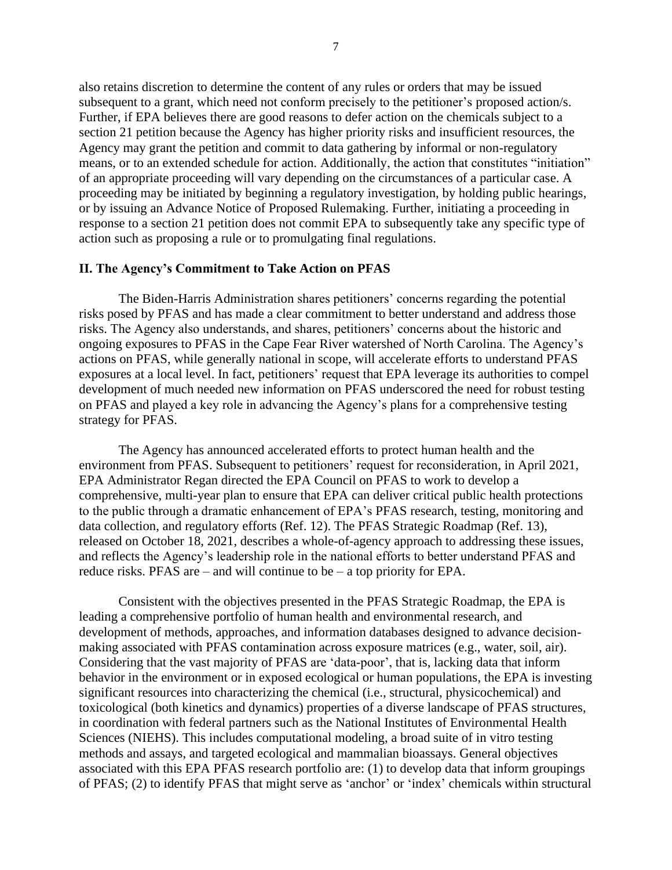also retains discretion to determine the content of any rules or orders that may be issued subsequent to a grant, which need not conform precisely to the petitioner's proposed action/s. Further, if EPA believes there are good reasons to defer action on the chemicals subject to a section 21 petition because the Agency has higher priority risks and insufficient resources, the Agency may grant the petition and commit to data gathering by informal or non-regulatory means, or to an extended schedule for action. Additionally, the action that constitutes "initiation" of an appropriate proceeding will vary depending on the circumstances of a particular case. A proceeding may be initiated by beginning a regulatory investigation, by holding public hearings, or by issuing an Advance Notice of Proposed Rulemaking. Further, initiating a proceeding in response to a section 21 petition does not commit EPA to subsequently take any specific type of action such as proposing a rule or to promulgating final regulations.

#### **II. The Agency's Commitment to Take Action on PFAS**

The Biden-Harris Administration shares petitioners' concerns regarding the potential risks posed by PFAS and has made a clear commitment to better understand and address those risks. The Agency also understands, and shares, petitioners' concerns about the historic and ongoing exposures to PFAS in the Cape Fear River watershed of North Carolina. The Agency's actions on PFAS, while generally national in scope, will accelerate efforts to understand PFAS exposures at a local level. In fact, petitioners' request that EPA leverage its authorities to compel development of much needed new information on PFAS underscored the need for robust testing on PFAS and played a key role in advancing the Agency's plans for a comprehensive testing strategy for PFAS.

The Agency has announced accelerated efforts to protect human health and the environment from PFAS. Subsequent to petitioners' request for reconsideration, in April 2021, EPA Administrator Regan directed the EPA Council on PFAS to work to develop a comprehensive, multi-year plan to ensure that EPA can deliver critical public health protections to the public through a dramatic enhancement of EPA's PFAS research, testing, monitoring and data collection, and regulatory efforts (Ref. 12). The PFAS Strategic Roadmap (Ref. 13), released on October 18, 2021, describes a whole-of-agency approach to addressing these issues, and reflects the Agency's leadership role in the national efforts to better understand PFAS and reduce risks. PFAS are – and will continue to be – a top priority for EPA.

Consistent with the objectives presented in the PFAS Strategic Roadmap, the EPA is leading a comprehensive portfolio of human health and environmental research, and development of methods, approaches, and information databases designed to advance decisionmaking associated with PFAS contamination across exposure matrices (e.g., water, soil, air). Considering that the vast majority of PFAS are 'data-poor', that is, lacking data that inform behavior in the environment or in exposed ecological or human populations, the EPA is investing significant resources into characterizing the chemical (i.e., structural, physicochemical) and toxicological (both kinetics and dynamics) properties of a diverse landscape of PFAS structures, in coordination with federal partners such as the National Institutes of Environmental Health Sciences (NIEHS). This includes computational modeling, a broad suite of in vitro testing methods and assays, and targeted ecological and mammalian bioassays. General objectives associated with this EPA PFAS research portfolio are: (1) to develop data that inform groupings of PFAS; (2) to identify PFAS that might serve as 'anchor' or 'index' chemicals within structural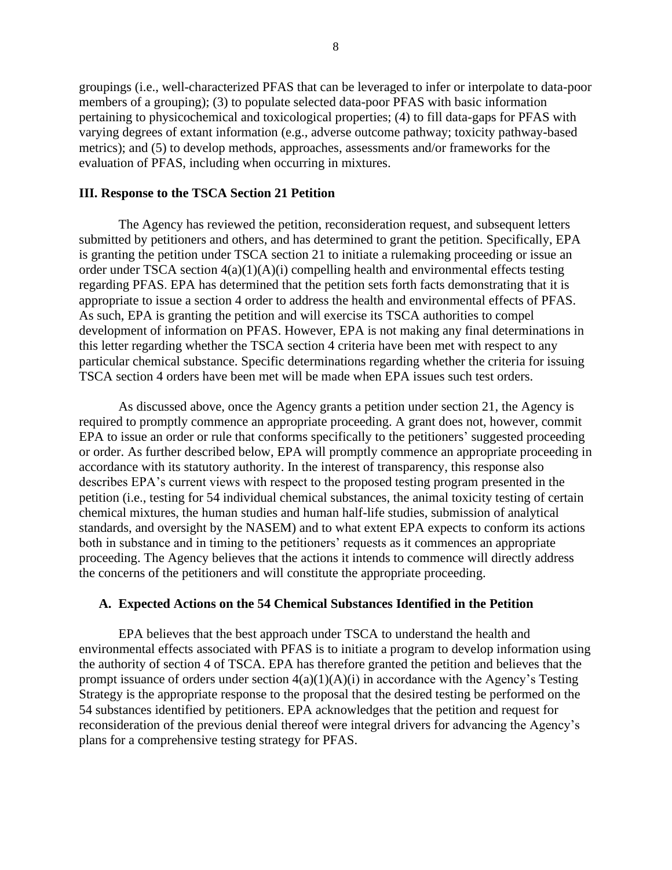groupings (i.e., well-characterized PFAS that can be leveraged to infer or interpolate to data-poor members of a grouping); (3) to populate selected data-poor PFAS with basic information pertaining to physicochemical and toxicological properties; (4) to fill data-gaps for PFAS with varying degrees of extant information (e.g., adverse outcome pathway; toxicity pathway-based metrics); and (5) to develop methods, approaches, assessments and/or frameworks for the evaluation of PFAS, including when occurring in mixtures.

#### **III. Response to the TSCA Section 21 Petition**

The Agency has reviewed the petition, reconsideration request, and subsequent letters submitted by petitioners and others, and has determined to grant the petition. Specifically, EPA is granting the petition under TSCA section 21 to initiate a rulemaking proceeding or issue an order under TSCA section 4(a)(1)(A)(i) compelling health and environmental effects testing regarding PFAS. EPA has determined that the petition sets forth facts demonstrating that it is appropriate to issue a section 4 order to address the health and environmental effects of PFAS*.* As such, EPA is granting the petition and will exercise its TSCA authorities to compel development of information on PFAS. However, EPA is not making any final determinations in this letter regarding whether the TSCA section 4 criteria have been met with respect to any particular chemical substance. Specific determinations regarding whether the criteria for issuing TSCA section 4 orders have been met will be made when EPA issues such test orders.

As discussed above, once the Agency grants a petition under section 21, the Agency is required to promptly commence an appropriate proceeding. A grant does not, however, commit EPA to issue an order or rule that conforms specifically to the petitioners' suggested proceeding or order. As further described below, EPA will promptly commence an appropriate proceeding in accordance with its statutory authority. In the interest of transparency, this response also describes EPA's current views with respect to the proposed testing program presented in the petition (i.e., testing for 54 individual chemical substances, the animal toxicity testing of certain chemical mixtures, the human studies and human half-life studies, submission of analytical standards, and oversight by the NASEM) and to what extent EPA expects to conform its actions both in substance and in timing to the petitioners' requests as it commences an appropriate proceeding. The Agency believes that the actions it intends to commence will directly address the concerns of the petitioners and will constitute the appropriate proceeding.

#### **A. Expected Actions on the 54 Chemical Substances Identified in the Petition**

EPA believes that the best approach under TSCA to understand the health and environmental effects associated with PFAS is to initiate a program to develop information using the authority of section 4 of TSCA. EPA has therefore granted the petition and believes that the prompt issuance of orders under section 4(a)(1)(A)(i) in accordance with the Agency's Testing Strategy is the appropriate response to the proposal that the desired testing be performed on the 54 substances identified by petitioners. EPA acknowledges that the petition and request for reconsideration of the previous denial thereof were integral drivers for advancing the Agency's plans for a comprehensive testing strategy for PFAS.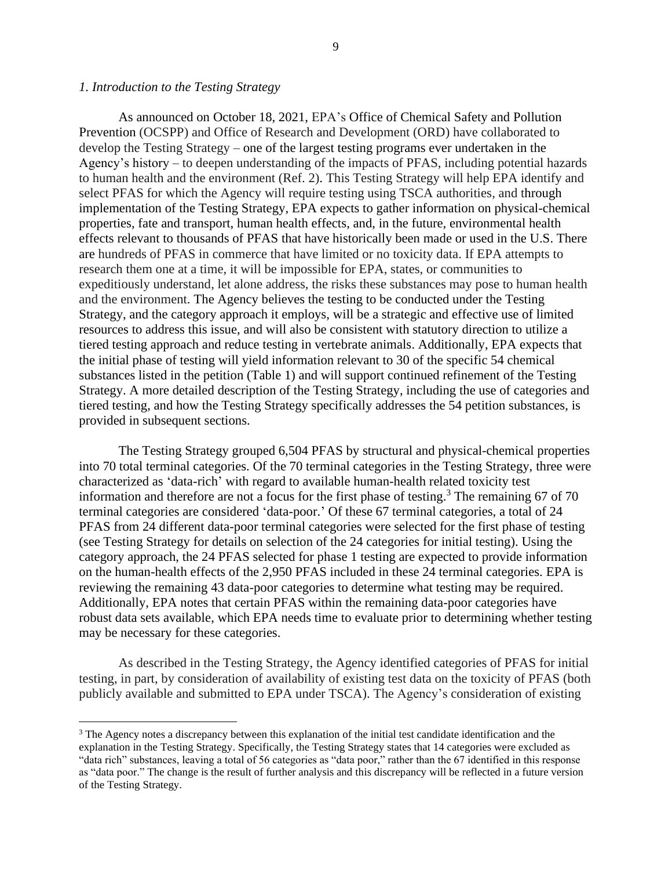#### *1. Introduction to the Testing Strategy*

As announced on October 18, 2021, EPA's Office of Chemical Safety and Pollution Prevention (OCSPP) and Office of Research and Development (ORD) have collaborated to develop the Testing Strategy – one of the largest testing programs ever undertaken in the Agency's history – to deepen understanding of the impacts of PFAS, including potential hazards to human health and the environment (Ref. 2). This Testing Strategy will help EPA identify and select PFAS for which the Agency will require testing using TSCA authorities, and through implementation of the Testing Strategy, EPA expects to gather information on physical-chemical properties, fate and transport, human health effects, and, in the future, environmental health effects relevant to thousands of PFAS that have historically been made or used in the U.S. There are hundreds of PFAS in commerce that have limited or no toxicity data. If EPA attempts to research them one at a time, it will be impossible for EPA, states, or communities to expeditiously understand, let alone address, the risks these substances may pose to human health and the environment. The Agency believes the testing to be conducted under the Testing Strategy, and the category approach it employs, will be a strategic and effective use of limited resources to address this issue, and will also be consistent with statutory direction to utilize a tiered testing approach and reduce testing in vertebrate animals. Additionally, EPA expects that the initial phase of testing will yield information relevant to 30 of the specific 54 chemical substances listed in the petition (Table 1) and will support continued refinement of the Testing Strategy. A more detailed description of the Testing Strategy, including the use of categories and tiered testing, and how the Testing Strategy specifically addresses the 54 petition substances, is provided in subsequent sections.

The Testing Strategy grouped 6,504 PFAS by structural and physical-chemical properties into 70 total terminal categories. Of the 70 terminal categories in the Testing Strategy, three were characterized as 'data-rich' with regard to available human-health related toxicity test information and therefore are not a focus for the first phase of testing.<sup>3</sup> The remaining 67 of 70 terminal categories are considered 'data-poor.' Of these 67 terminal categories, a total of 24 PFAS from 24 different data-poor terminal categories were selected for the first phase of testing (see Testing Strategy for details on selection of the 24 categories for initial testing). Using the category approach, the 24 PFAS selected for phase 1 testing are expected to provide information on the human-health effects of the 2,950 PFAS included in these 24 terminal categories. EPA is reviewing the remaining 43 data-poor categories to determine what testing may be required. Additionally, EPA notes that certain PFAS within the remaining data-poor categories have robust data sets available, which EPA needs time to evaluate prior to determining whether testing may be necessary for these categories.

As described in the Testing Strategy, the Agency identified categories of PFAS for initial testing, in part, by consideration of availability of existing test data on the toxicity of PFAS (both publicly available and submitted to EPA under TSCA). The Agency's consideration of existing

<sup>&</sup>lt;sup>3</sup> The Agency notes a discrepancy between this explanation of the initial test candidate identification and the explanation in the Testing Strategy. Specifically, the Testing Strategy states that 14 categories were excluded as "data rich" substances, leaving a total of 56 categories as "data poor," rather than the 67 identified in this response as "data poor." The change is the result of further analysis and this discrepancy will be reflected in a future version of the Testing Strategy.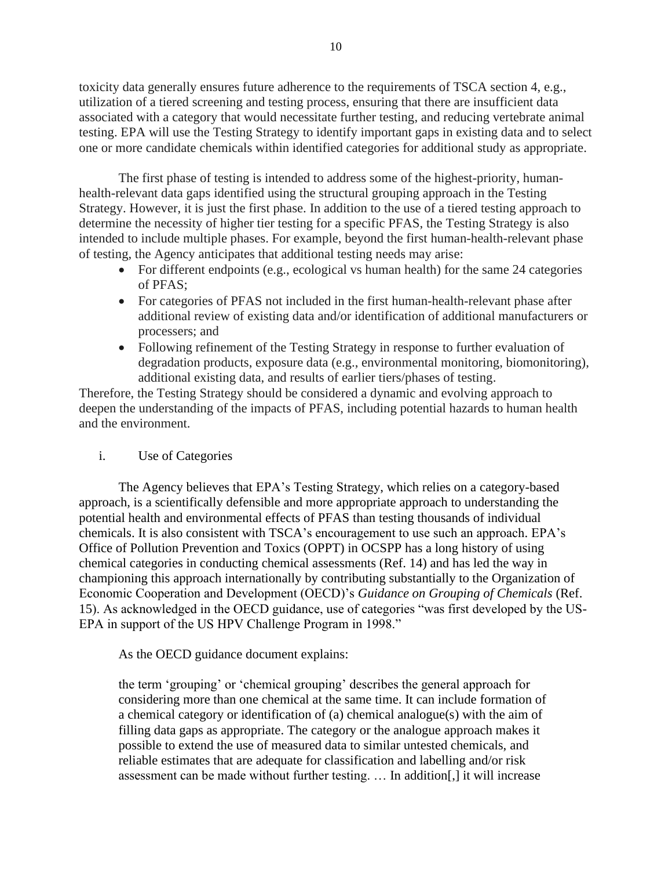toxicity data generally ensures future adherence to the requirements of TSCA section 4, e.g., utilization of a tiered screening and testing process, ensuring that there are insufficient data associated with a category that would necessitate further testing, and reducing vertebrate animal testing. EPA will use the Testing Strategy to identify important gaps in existing data and to select one or more candidate chemicals within identified categories for additional study as appropriate.

The first phase of testing is intended to address some of the highest-priority, humanhealth-relevant data gaps identified using the structural grouping approach in the Testing Strategy. However, it is just the first phase. In addition to the use of a tiered testing approach to determine the necessity of higher tier testing for a specific PFAS, the Testing Strategy is also intended to include multiple phases. For example, beyond the first human-health-relevant phase of testing, the Agency anticipates that additional testing needs may arise:

- For different endpoints (e.g., ecological vs human health) for the same 24 categories of PFAS;
- For categories of PFAS not included in the first human-health-relevant phase after additional review of existing data and/or identification of additional manufacturers or processers; and
- Following refinement of the Testing Strategy in response to further evaluation of degradation products, exposure data (e.g., environmental monitoring, biomonitoring), additional existing data, and results of earlier tiers/phases of testing.

Therefore, the Testing Strategy should be considered a dynamic and evolving approach to deepen the understanding of the impacts of PFAS, including potential hazards to human health and the environment.

# i. Use of Categories

The Agency believes that EPA's Testing Strategy, which relies on a category-based approach, is a scientifically defensible and more appropriate approach to understanding the potential health and environmental effects of PFAS than testing thousands of individual chemicals. It is also consistent with TSCA's encouragement to use such an approach. EPA's Office of Pollution Prevention and Toxics (OPPT) in OCSPP has a long history of using chemical categories in conducting chemical assessments (Ref. 14) and has led the way in championing this approach internationally by contributing substantially to the Organization of Economic Cooperation and Development (OECD)'s *Guidance on Grouping of Chemicals* (Ref. 15). As acknowledged in the OECD guidance, use of categories "was first developed by the US-EPA in support of the US HPV Challenge Program in 1998."

As the OECD guidance document explains:

the term 'grouping' or 'chemical grouping' describes the general approach for considering more than one chemical at the same time. It can include formation of a chemical category or identification of (a) chemical analogue(s) with the aim of filling data gaps as appropriate. The category or the analogue approach makes it possible to extend the use of measured data to similar untested chemicals, and reliable estimates that are adequate for classification and labelling and/or risk assessment can be made without further testing. … In addition[,] it will increase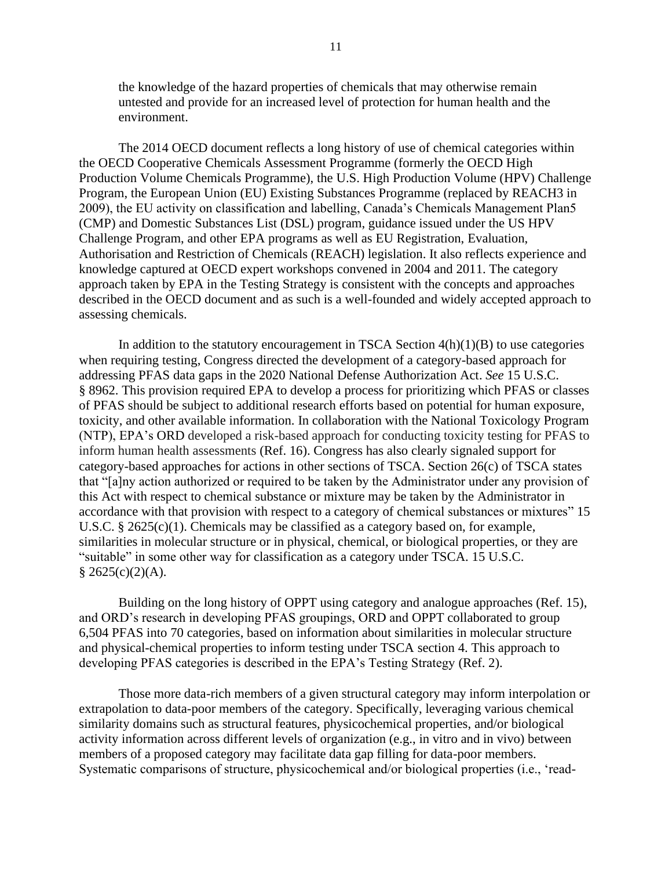the knowledge of the hazard properties of chemicals that may otherwise remain untested and provide for an increased level of protection for human health and the environment.

The 2014 OECD document reflects a long history of use of chemical categories within the OECD Cooperative Chemicals Assessment Programme (formerly the OECD High Production Volume Chemicals Programme), the U.S. High Production Volume (HPV) Challenge Program, the European Union (EU) Existing Substances Programme (replaced by REACH3 in 2009), the EU activity on classification and labelling, Canada's Chemicals Management Plan5 (CMP) and Domestic Substances List (DSL) program, guidance issued under the US HPV Challenge Program, and other EPA programs as well as EU Registration, Evaluation, Authorisation and Restriction of Chemicals (REACH) legislation. It also reflects experience and knowledge captured at OECD expert workshops convened in 2004 and 2011. The category approach taken by EPA in the Testing Strategy is consistent with the concepts and approaches described in the OECD document and as such is a well-founded and widely accepted approach to assessing chemicals.

In addition to the statutory encouragement in TSCA Section  $4(h)(1)(B)$  to use categories when requiring testing, Congress directed the development of a category-based approach for addressing PFAS data gaps in the 2020 National Defense Authorization Act. *See* 15 U.S.C. § 8962. This provision required EPA to develop a process for prioritizing which PFAS or classes of PFAS should be subject to additional research efforts based on potential for human exposure, toxicity, and other available information. In collaboration with the National Toxicology Program (NTP), EPA's ORD developed a risk-based approach for conducting toxicity testing for PFAS to inform human health assessments (Ref. 16). Congress has also clearly signaled support for category-based approaches for actions in other sections of TSCA. Section 26(c) of TSCA states that "[a]ny action authorized or required to be taken by the Administrator under any provision of this Act with respect to chemical substance or mixture may be taken by the Administrator in accordance with that provision with respect to a category of chemical substances or mixtures" 15 U.S.C.  $\S 2625(c)(1)$ . Chemicals may be classified as a category based on, for example, similarities in molecular structure or in physical, chemical, or biological properties, or they are "suitable" in some other way for classification as a category under TSCA. 15 U.S.C.  $§$  2625(c)(2)(A).

Building on the long history of OPPT using category and analogue approaches (Ref. 15), and ORD's research in developing PFAS groupings, ORD and OPPT collaborated to group 6,504 PFAS into 70 categories, based on information about similarities in molecular structure and physical-chemical properties to inform testing under TSCA section 4. This approach to developing PFAS categories is described in the EPA's Testing Strategy (Ref. 2).

Those more data-rich members of a given structural category may inform interpolation or extrapolation to data-poor members of the category. Specifically, leveraging various chemical similarity domains such as structural features, physicochemical properties, and/or biological activity information across different levels of organization (e.g., in vitro and in vivo) between members of a proposed category may facilitate data gap filling for data-poor members. Systematic comparisons of structure, physicochemical and/or biological properties (i.e., 'read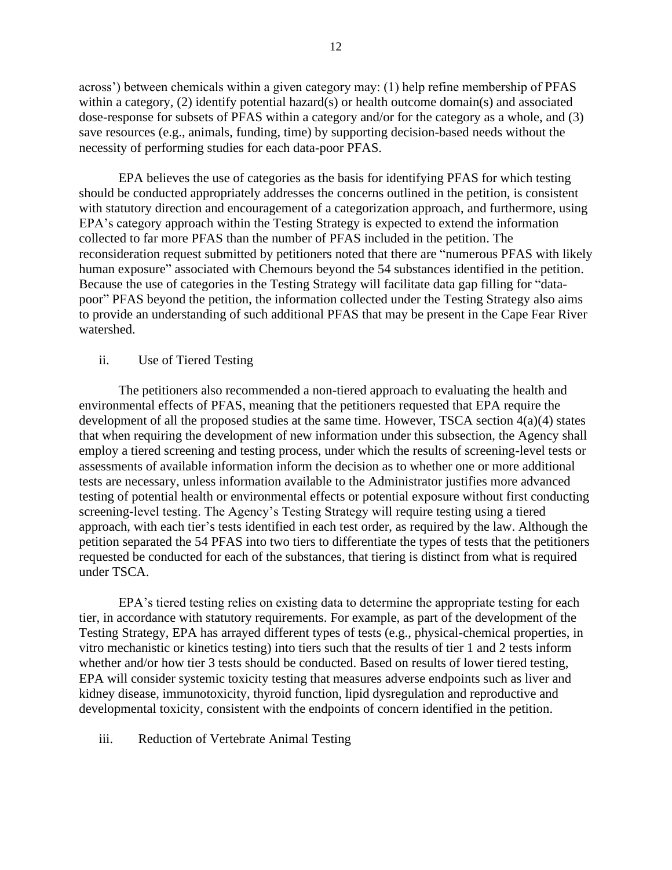across') between chemicals within a given category may: (1) help refine membership of PFAS within a category, (2) identify potential hazard(s) or health outcome domain(s) and associated dose-response for subsets of PFAS within a category and/or for the category as a whole, and (3) save resources (e.g., animals, funding, time) by supporting decision-based needs without the necessity of performing studies for each data-poor PFAS.

EPA believes the use of categories as the basis for identifying PFAS for which testing should be conducted appropriately addresses the concerns outlined in the petition, is consistent with statutory direction and encouragement of a categorization approach, and furthermore, using EPA's category approach within the Testing Strategy is expected to extend the information collected to far more PFAS than the number of PFAS included in the petition. The reconsideration request submitted by petitioners noted that there are "numerous PFAS with likely human exposure" associated with Chemours beyond the 54 substances identified in the petition. Because the use of categories in the Testing Strategy will facilitate data gap filling for "datapoor" PFAS beyond the petition, the information collected under the Testing Strategy also aims to provide an understanding of such additional PFAS that may be present in the Cape Fear River watershed.

## ii. Use of Tiered Testing

The petitioners also recommended a non-tiered approach to evaluating the health and environmental effects of PFAS, meaning that the petitioners requested that EPA require the development of all the proposed studies at the same time. However, TSCA section 4(a)(4) states that when requiring the development of new information under this subsection, the Agency shall employ a tiered screening and testing process, under which the results of screening-level tests or assessments of available information inform the decision as to whether one or more additional tests are necessary, unless information available to the Administrator justifies more advanced testing of potential health or environmental effects or potential exposure without first conducting screening-level testing. The Agency's Testing Strategy will require testing using a tiered approach, with each tier's tests identified in each test order, as required by the law. Although the petition separated the 54 PFAS into two tiers to differentiate the types of tests that the petitioners requested be conducted for each of the substances, that tiering is distinct from what is required under TSCA.

EPA's tiered testing relies on existing data to determine the appropriate testing for each tier, in accordance with statutory requirements. For example, as part of the development of the Testing Strategy, EPA has arrayed different types of tests (e.g., physical-chemical properties, in vitro mechanistic or kinetics testing) into tiers such that the results of tier 1 and 2 tests inform whether and/or how tier 3 tests should be conducted. Based on results of lower tiered testing, EPA will consider systemic toxicity testing that measures adverse endpoints such as liver and kidney disease, immunotoxicity, thyroid function, lipid dysregulation and reproductive and developmental toxicity, consistent with the endpoints of concern identified in the petition.

#### iii. Reduction of Vertebrate Animal Testing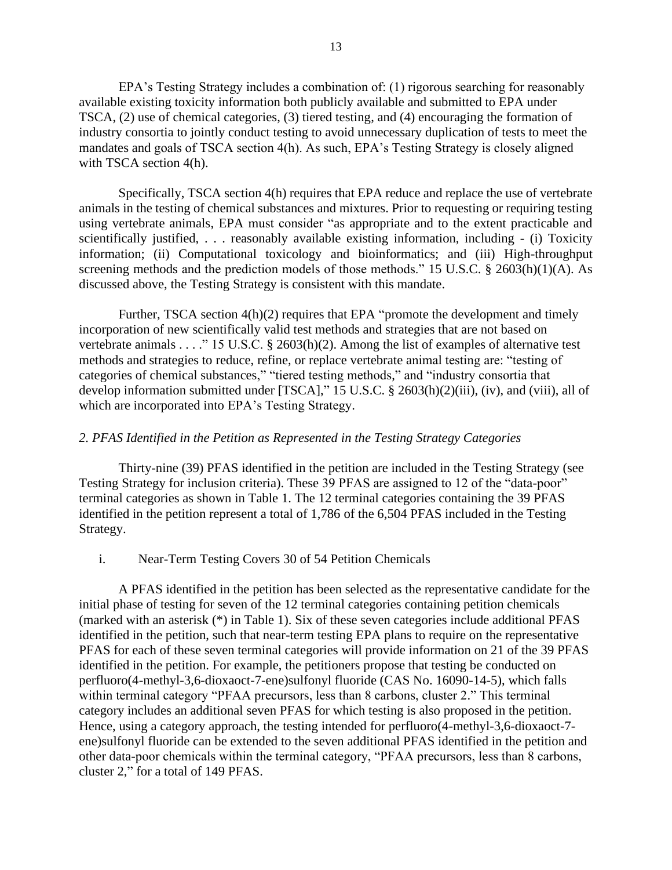EPA's Testing Strategy includes a combination of: (1) rigorous searching for reasonably available existing toxicity information both publicly available and submitted to EPA under TSCA, (2) use of chemical categories, (3) tiered testing, and (4) encouraging the formation of industry consortia to jointly conduct testing to avoid unnecessary duplication of tests to meet the mandates and goals of TSCA section 4(h). As such, EPA's Testing Strategy is closely aligned with TSCA section 4(h).

Specifically, TSCA section 4(h) requires that EPA reduce and replace the use of vertebrate animals in the testing of chemical substances and mixtures. Prior to requesting or requiring testing using vertebrate animals, EPA must consider "as appropriate and to the extent practicable and scientifically justified, . . . reasonably available existing information, including - (i) Toxicity information; (ii) Computational toxicology and bioinformatics; and (iii) High-throughput screening methods and the prediction models of those methods." 15 U.S.C. § 2603(h)(1)(A). As discussed above, the Testing Strategy is consistent with this mandate.

Further, TSCA section 4(h)(2) requires that EPA "promote the development and timely incorporation of new scientifically valid test methods and strategies that are not based on vertebrate animals . . . ." 15 U.S.C. § 2603(h)(2). Among the list of examples of alternative test methods and strategies to reduce, refine, or replace vertebrate animal testing are: "testing of categories of chemical substances," "tiered testing methods," and "industry consortia that develop information submitted under [TSCA]," 15 U.S.C. § 2603(h)(2)(iii), (iv), and (viii), all of which are incorporated into EPA's Testing Strategy.

#### *2. PFAS Identified in the Petition as Represented in the Testing Strategy Categories*

Thirty-nine (39) PFAS identified in the petition are included in the Testing Strategy (see Testing Strategy for inclusion criteria). These 39 PFAS are assigned to 12 of the "data-poor" terminal categories as shown in Table 1. The 12 terminal categories containing the 39 PFAS identified in the petition represent a total of 1,786 of the 6,504 PFAS included in the Testing Strategy.

#### i. Near-Term Testing Covers 30 of 54 Petition Chemicals

A PFAS identified in the petition has been selected as the representative candidate for the initial phase of testing for seven of the 12 terminal categories containing petition chemicals (marked with an asterisk (\*) in Table 1). Six of these seven categories include additional PFAS identified in the petition, such that near-term testing EPA plans to require on the representative PFAS for each of these seven terminal categories will provide information on 21 of the 39 PFAS identified in the petition. For example, the petitioners propose that testing be conducted on perfluoro(4-methyl-3,6-dioxaoct-7-ene)sulfonyl fluoride (CAS No. 16090-14-5), which falls within terminal category "PFAA precursors, less than 8 carbons, cluster 2." This terminal category includes an additional seven PFAS for which testing is also proposed in the petition. Hence, using a category approach, the testing intended for perfluoro(4-methyl-3,6-dioxaoct-7 ene)sulfonyl fluoride can be extended to the seven additional PFAS identified in the petition and other data-poor chemicals within the terminal category, "PFAA precursors, less than 8 carbons, cluster 2," for a total of 149 PFAS.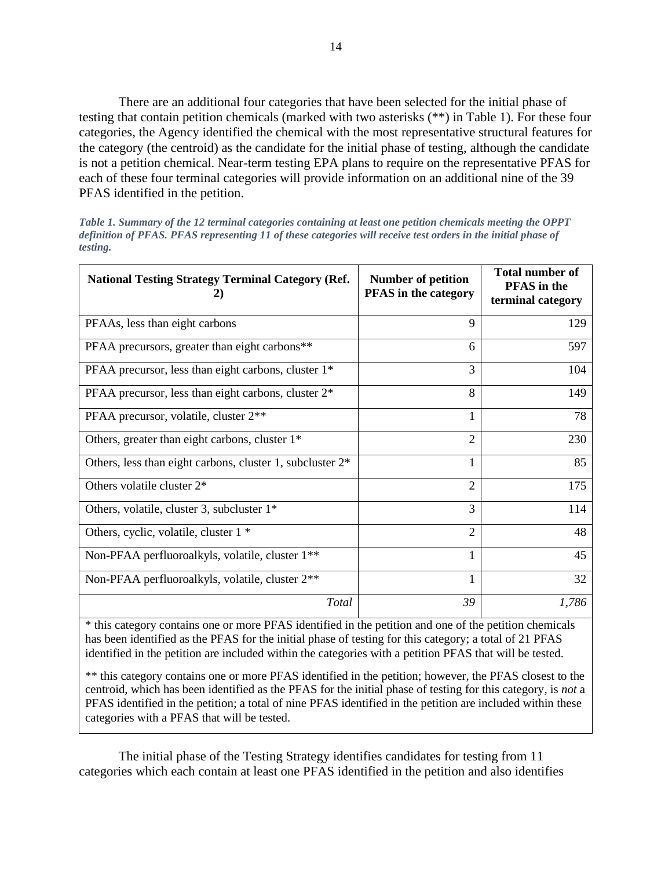There are an additional four categories that have been selected for the initial phase of testing that contain petition chemicals (marked with two asterisks (\*\*) in Table 1). For these four categories, the Agency identified the chemical with the most representative structural features for the category (the centroid) as the candidate for the initial phase of testing, although the candidate is not a petition chemical. Near-term testing EPA plans to require on the representative PFAS for each of these four terminal categories will provide information on an additional nine of the 39 PFAS identified in the petition.

*Table 1. Summary of the 12 terminal categories containing at least one petition chemicals meeting the OPPT definition of PFAS. PFAS representing 11 of these categories will receive test orders in the initial phase of testing.*

| <b>National Testing Strategy Terminal Category (Ref.</b><br>2)        | <b>Number of petition</b><br><b>PFAS</b> in the category | <b>Total number of</b><br><b>PFAS</b> in the<br>terminal category |
|-----------------------------------------------------------------------|----------------------------------------------------------|-------------------------------------------------------------------|
| PFAAs, less than eight carbons                                        | 9                                                        | 129                                                               |
| PFAA precursors, greater than eight carbons**                         | 6                                                        | 597                                                               |
| PFAA precursor, less than eight carbons, cluster 1 <sup>*</sup>       | 3                                                        | 104                                                               |
| PFAA precursor, less than eight carbons, cluster 2 <sup>*</sup>       | 8                                                        | 149                                                               |
| PFAA precursor, volatile, cluster 2 <sup>**</sup>                     | 1                                                        | 78                                                                |
| Others, greater than eight carbons, cluster 1 <sup>*</sup>            | $\mathfrak{D}$                                           | 230                                                               |
| Others, less than eight carbons, cluster 1, subcluster 2 <sup>*</sup> | 1                                                        | 85                                                                |
| Others volatile cluster $2^*$                                         | $\overline{2}$                                           | 175                                                               |
| Others, volatile, cluster 3, subcluster $1^*$                         | 3                                                        | 114                                                               |
| Others, cyclic, volatile, cluster 1 *                                 | $\overline{2}$                                           | 48                                                                |
| Non-PFAA perfluoroalkyls, volatile, cluster 1 <sup>**</sup>           |                                                          | 45                                                                |
| Non-PFAA perfluoroalkyls, volatile, cluster 2 <sup>**</sup>           | 1                                                        | 32                                                                |
| Total                                                                 | 39                                                       | 1,786                                                             |

\* this category contains one or more PFAS identified in the petition and one of the petition chemicals has been identified as the PFAS for the initial phase of testing for this category; a total of 21 PFAS identified in the petition are included within the categories with a petition PFAS that will be tested.

\*\* this category contains one or more PFAS identified in the petition; however, the PFAS closest to the centroid, which has been identified as the PFAS for the initial phase of testing for this category, is *not* a PFAS identified in the petition; a total of nine PFAS identified in the petition are included within these categories with a PFAS that will be tested.

The initial phase of the Testing Strategy identifies candidates for testing from 11 categories which each contain at least one PFAS identified in the petition and also identifies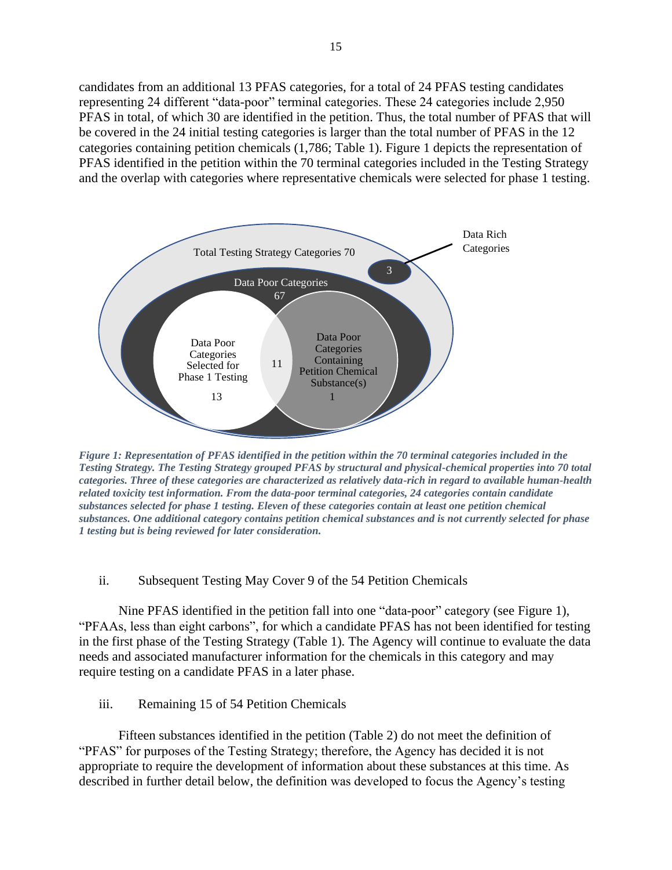candidates from an additional 13 PFAS categories, for a total of 24 PFAS testing candidates representing 24 different "data-poor" terminal categories. These 24 categories include 2,950 PFAS in total, of which 30 are identified in the petition. Thus, the total number of PFAS that will be covered in the 24 initial testing categories is larger than the total number of PFAS in the 12 categories containing petition chemicals (1,786; Table 1). Figure 1 depicts the representation of PFAS identified in the petition within the 70 terminal categories included in the Testing Strategy and the overlap with categories where representative chemicals were selected for phase 1 testing.



*Figure 1: Representation of PFAS identified in the petition within the 70 terminal categories included in the Testing Strategy. The Testing Strategy grouped PFAS by structural and physical-chemical properties into 70 total categories. Three of these categories are characterized as relatively data-rich in regard to available human-health related toxicity test information. From the data-poor terminal categories, 24 categories contain candidate substances selected for phase 1 testing. Eleven of these categories contain at least one petition chemical substances. One additional category contains petition chemical substances and is not currently selected for phase 1 testing but is being reviewed for later consideration.*

#### ii. Subsequent Testing May Cover 9 of the 54 Petition Chemicals

Nine PFAS identified in the petition fall into one "data-poor" category (see Figure 1), "PFAAs, less than eight carbons", for which a candidate PFAS has not been identified for testing in the first phase of the Testing Strategy (Table 1). The Agency will continue to evaluate the data needs and associated manufacturer information for the chemicals in this category and may require testing on a candidate PFAS in a later phase.

# iii. Remaining 15 of 54 Petition Chemicals

Fifteen substances identified in the petition (Table 2) do not meet the definition of "PFAS" for purposes of the Testing Strategy; therefore, the Agency has decided it is not appropriate to require the development of information about these substances at this time. As described in further detail below, the definition was developed to focus the Agency's testing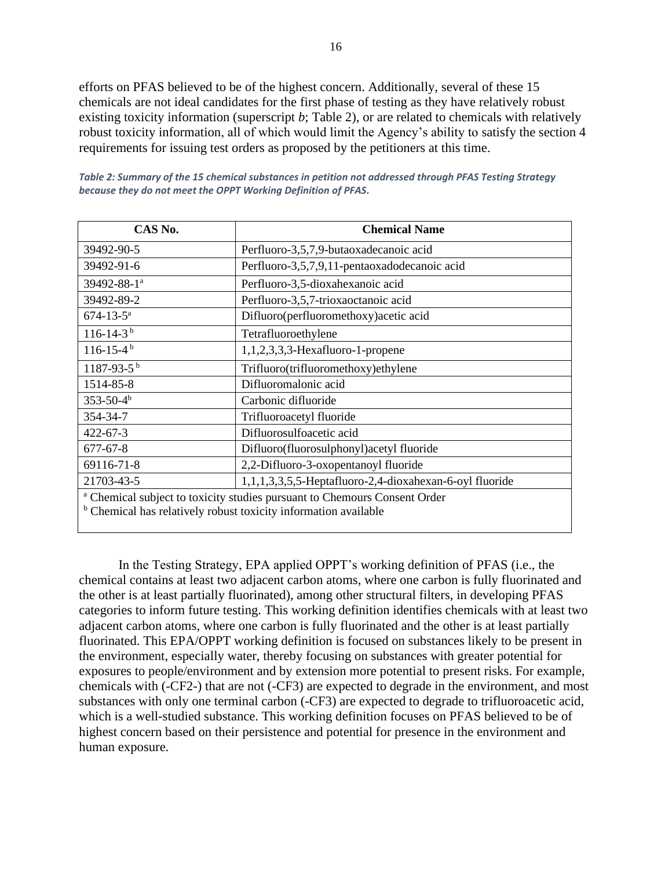efforts on PFAS believed to be of the highest concern. Additionally, several of these 15 chemicals are not ideal candidates for the first phase of testing as they have relatively robust existing toxicity information (superscript *b*; Table 2), or are related to chemicals with relatively robust toxicity information, all of which would limit the Agency's ability to satisfy the section 4 requirements for issuing test orders as proposed by the petitioners at this time.

| CAS No.                                                                                                                                                            | <b>Chemical Name</b>                                    |  |
|--------------------------------------------------------------------------------------------------------------------------------------------------------------------|---------------------------------------------------------|--|
| 39492-90-5                                                                                                                                                         | Perfluoro-3,5,7,9-butaoxadecanoic acid                  |  |
| 39492-91-6                                                                                                                                                         | Perfluoro-3,5,7,9,11-pentaoxadodecanoic acid            |  |
| 39492-88-1 <sup>a</sup>                                                                                                                                            | Perfluoro-3,5-dioxahexanoic acid                        |  |
| 39492-89-2                                                                                                                                                         | Perfluoro-3,5,7-trioxaoctanoic acid                     |  |
| $674 - 13 - 5^a$                                                                                                                                                   | Difluoro(perfluoromethoxy) acetic acid                  |  |
| $116 - 14 - 3^{b}$                                                                                                                                                 | Tetrafluoroethylene                                     |  |
| $116 - 15 - 4$ <sup>b</sup>                                                                                                                                        | $1,1,2,3,3,3$ -Hexafluoro-1-propene                     |  |
| $1187 - 93 - 5$ <sup>b</sup>                                                                                                                                       | Trifluoro(trifluoromethoxy)ethylene                     |  |
| 1514-85-8                                                                                                                                                          | Difluoromalonic acid                                    |  |
| $353 - 50 - 4b$                                                                                                                                                    | Carbonic difluoride                                     |  |
| 354-34-7                                                                                                                                                           | Trifluoroacetyl fluoride                                |  |
| $422 - 67 - 3$                                                                                                                                                     | Difluorosulfoacetic acid                                |  |
| $677 - 67 - 8$                                                                                                                                                     | Difluoro(fluorosulphonyl)acetyl fluoride                |  |
| 69116-71-8                                                                                                                                                         | 2,2-Difluoro-3-oxopentanoyl fluoride                    |  |
| 21703-43-5                                                                                                                                                         | 1,1,1,3,3,5,5-Heptafluoro-2,4-dioxahexan-6-oyl fluoride |  |
| <sup>a</sup> Chemical subject to toxicity studies pursuant to Chemours Consent Order<br><sup>b</sup> Chemical has relatively robust toxicity information available |                                                         |  |

*Table 2: Summary of the 15 chemical substances in petition not addressed through PFAS Testing Strategy because they do not meet the OPPT Working Definition of PFAS.*

In the Testing Strategy, EPA applied OPPT's working definition of PFAS (i.e., the chemical contains at least two adjacent carbon atoms, where one carbon is fully fluorinated and the other is at least partially fluorinated), among other structural filters, in developing PFAS categories to inform future testing. This working definition identifies chemicals with at least two adjacent carbon atoms, where one carbon is fully fluorinated and the other is at least partially fluorinated. This EPA/OPPT working definition is focused on substances likely to be present in the environment, especially water, thereby focusing on substances with greater potential for exposures to people/environment and by extension more potential to present risks. For example, chemicals with (-CF2-) that are not (-CF3) are expected to degrade in the environment, and most substances with only one terminal carbon (-CF3) are expected to degrade to trifluoroacetic acid, which is a well-studied substance. This working definition focuses on PFAS believed to be of highest concern based on their persistence and potential for presence in the environment and human exposure.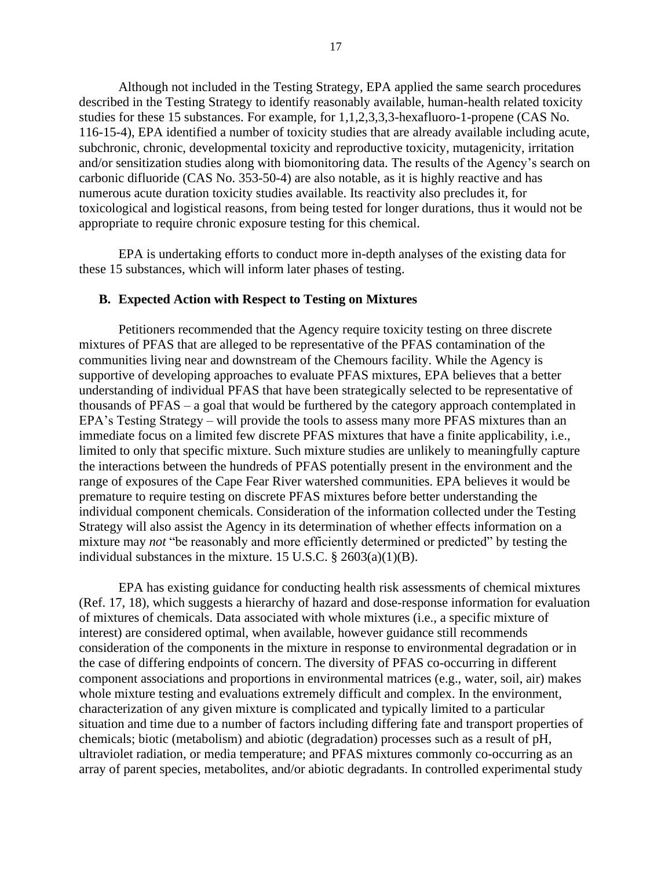Although not included in the Testing Strategy, EPA applied the same search procedures described in the Testing Strategy to identify reasonably available, human-health related toxicity studies for these 15 substances. For example, for 1,1,2,3,3,3-hexafluoro-1-propene (CAS No. 116-15-4), EPA identified a number of toxicity studies that are already available including acute, subchronic, chronic, developmental toxicity and reproductive toxicity, mutagenicity, irritation and/or sensitization studies along with biomonitoring data. The results of the Agency's search on carbonic difluoride (CAS No. 353-50-4) are also notable, as it is highly reactive and has numerous acute duration toxicity studies available. Its reactivity also precludes it, for toxicological and logistical reasons, from being tested for longer durations, thus it would not be appropriate to require chronic exposure testing for this chemical.

EPA is undertaking efforts to conduct more in-depth analyses of the existing data for these 15 substances, which will inform later phases of testing.

#### **B. Expected Action with Respect to Testing on Mixtures**

Petitioners recommended that the Agency require toxicity testing on three discrete mixtures of PFAS that are alleged to be representative of the PFAS contamination of the communities living near and downstream of the Chemours facility. While the Agency is supportive of developing approaches to evaluate PFAS mixtures, EPA believes that a better understanding of individual PFAS that have been strategically selected to be representative of thousands of PFAS – a goal that would be furthered by the category approach contemplated in EPA's Testing Strategy – will provide the tools to assess many more PFAS mixtures than an immediate focus on a limited few discrete PFAS mixtures that have a finite applicability, i.e., limited to only that specific mixture. Such mixture studies are unlikely to meaningfully capture the interactions between the hundreds of PFAS potentially present in the environment and the range of exposures of the Cape Fear River watershed communities. EPA believes it would be premature to require testing on discrete PFAS mixtures before better understanding the individual component chemicals. Consideration of the information collected under the Testing Strategy will also assist the Agency in its determination of whether effects information on a mixture may *not* "be reasonably and more efficiently determined or predicted" by testing the individual substances in the mixture. 15 U.S.C. § 2603(a)(1)(B).

EPA has existing guidance for conducting health risk assessments of chemical mixtures (Ref. 17, 18), which suggests a hierarchy of hazard and dose-response information for evaluation of mixtures of chemicals. Data associated with whole mixtures (i.e., a specific mixture of interest) are considered optimal, when available, however guidance still recommends consideration of the components in the mixture in response to environmental degradation or in the case of differing endpoints of concern. The diversity of PFAS co-occurring in different component associations and proportions in environmental matrices (e.g., water, soil, air) makes whole mixture testing and evaluations extremely difficult and complex. In the environment, characterization of any given mixture is complicated and typically limited to a particular situation and time due to a number of factors including differing fate and transport properties of chemicals; biotic (metabolism) and abiotic (degradation) processes such as a result of pH, ultraviolet radiation, or media temperature; and PFAS mixtures commonly co-occurring as an array of parent species, metabolites, and/or abiotic degradants. In controlled experimental study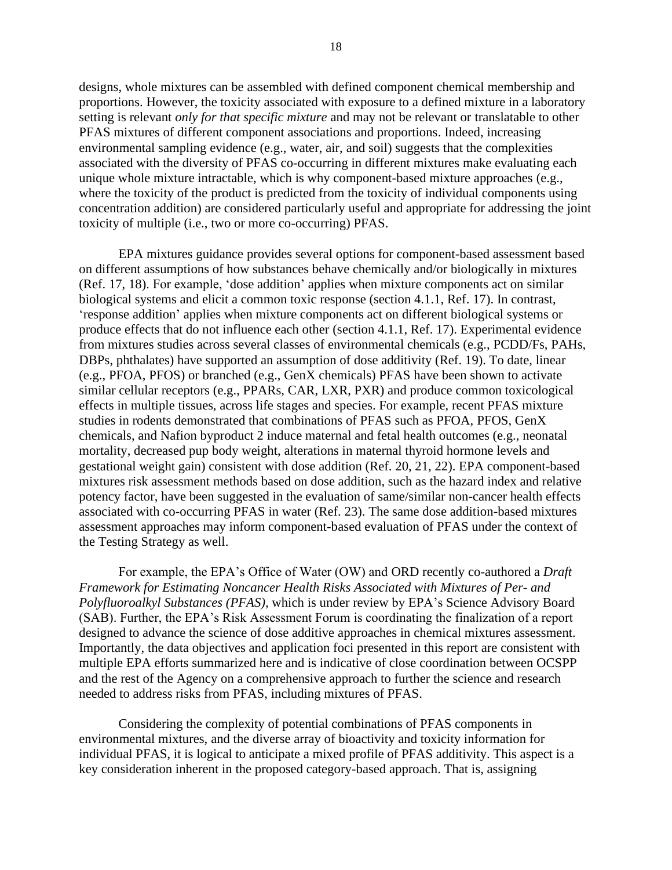designs, whole mixtures can be assembled with defined component chemical membership and proportions. However, the toxicity associated with exposure to a defined mixture in a laboratory setting is relevant *only for that specific mixture* and may not be relevant or translatable to other PFAS mixtures of different component associations and proportions. Indeed, increasing environmental sampling evidence (e.g., water, air, and soil) suggests that the complexities associated with the diversity of PFAS co-occurring in different mixtures make evaluating each unique whole mixture intractable, which is why component-based mixture approaches (e.g., where the toxicity of the product is predicted from the toxicity of individual components using concentration addition) are considered particularly useful and appropriate for addressing the joint toxicity of multiple (i.e., two or more co-occurring) PFAS.

EPA mixtures guidance provides several options for component-based assessment based on different assumptions of how substances behave chemically and/or biologically in mixtures (Ref. 17, 18). For example, 'dose addition' applies when mixture components act on similar biological systems and elicit a common toxic response (section 4.1.1, Ref. 17). In contrast, 'response addition' applies when mixture components act on different biological systems or produce effects that do not influence each other (section 4.1.1, Ref. 17). Experimental evidence from mixtures studies across several classes of environmental chemicals (e.g., PCDD/Fs, PAHs, DBPs, phthalates) have supported an assumption of dose additivity (Ref. 19). To date, linear (e.g., PFOA, PFOS) or branched (e.g., GenX chemicals) PFAS have been shown to activate similar cellular receptors (e.g., PPARs, CAR, LXR, PXR) and produce common toxicological effects in multiple tissues, across life stages and species. For example, recent PFAS mixture studies in rodents demonstrated that combinations of PFAS such as PFOA, PFOS, GenX chemicals, and Nafion byproduct 2 induce maternal and fetal health outcomes (e.g., neonatal mortality, decreased pup body weight, alterations in maternal thyroid hormone levels and gestational weight gain) consistent with dose addition (Ref. 20, 21, 22). EPA component-based mixtures risk assessment methods based on dose addition, such as the hazard index and relative potency factor, have been suggested in the evaluation of same/similar non-cancer health effects associated with co-occurring PFAS in water (Ref. 23). The same dose addition-based mixtures assessment approaches may inform component-based evaluation of PFAS under the context of the Testing Strategy as well.

For example, the EPA's Office of Water (OW) and ORD recently co-authored a *Draft Framework for Estimating Noncancer Health Risks Associated with Mixtures of Per- and Polyfluoroalkyl Substances (PFAS)*, which is under review by EPA's Science Advisory Board (SAB). Further, the EPA's Risk Assessment Forum is coordinating the finalization of a report designed to advance the science of dose additive approaches in chemical mixtures assessment. Importantly, the data objectives and application foci presented in this report are consistent with multiple EPA efforts summarized here and is indicative of close coordination between OCSPP and the rest of the Agency on a comprehensive approach to further the science and research needed to address risks from PFAS, including mixtures of PFAS.

Considering the complexity of potential combinations of PFAS components in environmental mixtures, and the diverse array of bioactivity and toxicity information for individual PFAS, it is logical to anticipate a mixed profile of PFAS additivity. This aspect is a key consideration inherent in the proposed category-based approach. That is, assigning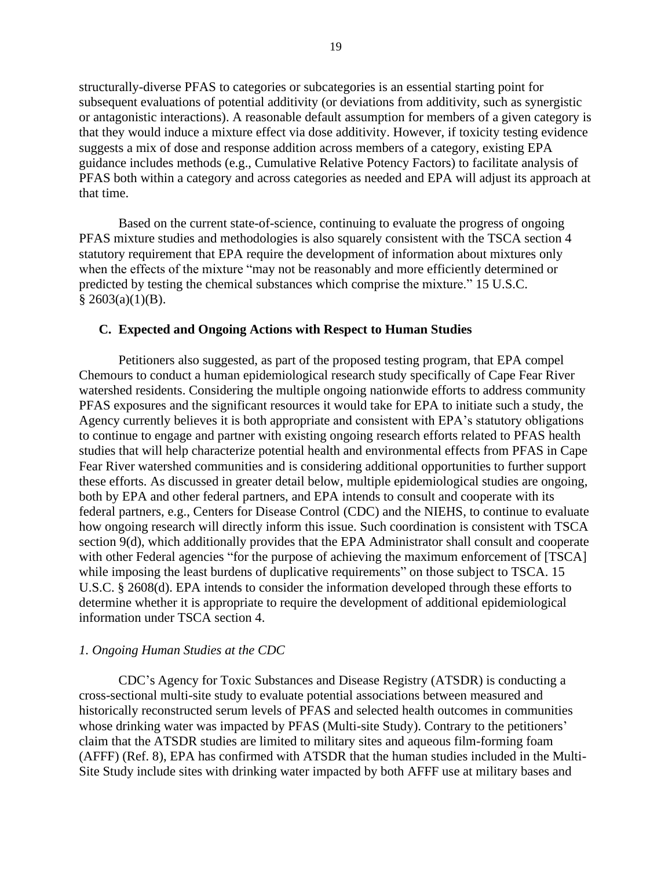structurally-diverse PFAS to categories or subcategories is an essential starting point for subsequent evaluations of potential additivity (or deviations from additivity, such as synergistic or antagonistic interactions). A reasonable default assumption for members of a given category is that they would induce a mixture effect via dose additivity. However, if toxicity testing evidence suggests a mix of dose and response addition across members of a category, existing EPA guidance includes methods (e.g., Cumulative Relative Potency Factors) to facilitate analysis of PFAS both within a category and across categories as needed and EPA will adjust its approach at that time.

Based on the current state-of-science, continuing to evaluate the progress of ongoing PFAS mixture studies and methodologies is also squarely consistent with the TSCA section 4 statutory requirement that EPA require the development of information about mixtures only when the effects of the mixture "may not be reasonably and more efficiently determined or predicted by testing the chemical substances which comprise the mixture." 15 U.S.C.  $§$  2603(a)(1)(B).

#### **C. Expected and Ongoing Actions with Respect to Human Studies**

Petitioners also suggested, as part of the proposed testing program, that EPA compel Chemours to conduct a human epidemiological research study specifically of Cape Fear River watershed residents. Considering the multiple ongoing nationwide efforts to address community PFAS exposures and the significant resources it would take for EPA to initiate such a study, the Agency currently believes it is both appropriate and consistent with EPA's statutory obligations to continue to engage and partner with existing ongoing research efforts related to PFAS health studies that will help characterize potential health and environmental effects from PFAS in Cape Fear River watershed communities and is considering additional opportunities to further support these efforts. As discussed in greater detail below, multiple epidemiological studies are ongoing, both by EPA and other federal partners, and EPA intends to consult and cooperate with its federal partners, e.g., Centers for Disease Control (CDC) and the NIEHS, to continue to evaluate how ongoing research will directly inform this issue. Such coordination is consistent with TSCA section 9(d), which additionally provides that the EPA Administrator shall consult and cooperate with other Federal agencies "for the purpose of achieving the maximum enforcement of [TSCA] while imposing the least burdens of duplicative requirements" on those subject to TSCA. 15 U.S.C. § 2608(d). EPA intends to consider the information developed through these efforts to determine whether it is appropriate to require the development of additional epidemiological information under TSCA section 4.

#### *1. Ongoing Human Studies at the CDC*

CDC's Agency for Toxic Substances and Disease Registry (ATSDR) is conducting a cross-sectional multi-site study to evaluate potential associations between measured and historically reconstructed serum levels of PFAS and selected health outcomes in communities whose drinking water was impacted by PFAS (Multi-site Study). Contrary to the petitioners' claim that the ATSDR studies are limited to military sites and aqueous film-forming foam (AFFF) (Ref. 8), EPA has confirmed with ATSDR that the human studies included in the Multi-Site Study include sites with drinking water impacted by both AFFF use at military bases and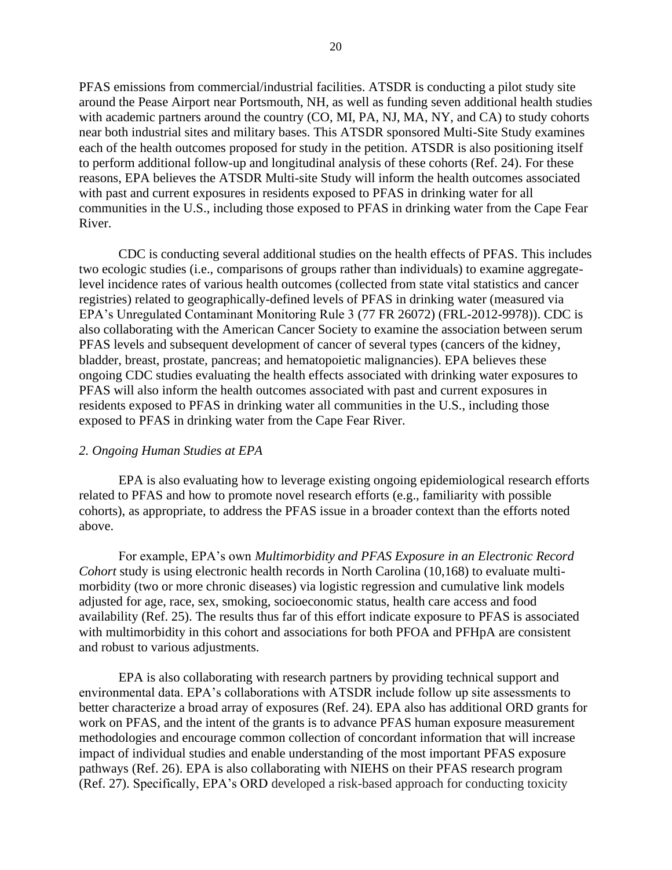PFAS emissions from commercial/industrial facilities. ATSDR is conducting a pilot study site around the Pease Airport near Portsmouth, NH, as well as funding seven additional health studies with academic partners around the country (CO, MI, PA, NJ, MA, NY, and CA) to study cohorts near both industrial sites and military bases. This ATSDR sponsored Multi-Site Study examines each of the health outcomes proposed for study in the petition. ATSDR is also positioning itself to perform additional follow-up and longitudinal analysis of these cohorts (Ref. 24). For these reasons, EPA believes the ATSDR Multi-site Study will inform the health outcomes associated with past and current exposures in residents exposed to PFAS in drinking water for all communities in the U.S., including those exposed to PFAS in drinking water from the Cape Fear River.

CDC is conducting several additional studies on the health effects of PFAS. This includes two ecologic studies (i.e., comparisons of groups rather than individuals) to examine aggregatelevel incidence rates of various health outcomes (collected from state vital statistics and cancer registries) related to geographically-defined levels of PFAS in drinking water (measured via EPA's Unregulated Contaminant Monitoring Rule 3 (77 FR 26072) (FRL-2012-9978)). CDC is also collaborating with the American Cancer Society to examine the association between serum PFAS levels and subsequent development of cancer of several types (cancers of the kidney, bladder, breast, prostate, pancreas; and hematopoietic malignancies). EPA believes these ongoing CDC studies evaluating the health effects associated with drinking water exposures to PFAS will also inform the health outcomes associated with past and current exposures in residents exposed to PFAS in drinking water all communities in the U.S., including those exposed to PFAS in drinking water from the Cape Fear River.

#### *2. Ongoing Human Studies at EPA*

EPA is also evaluating how to leverage existing ongoing epidemiological research efforts related to PFAS and how to promote novel research efforts (e.g., familiarity with possible cohorts), as appropriate, to address the PFAS issue in a broader context than the efforts noted above.

For example, EPA's own *Multimorbidity and PFAS Exposure in an Electronic Record Cohort* study is using electronic health records in North Carolina (10,168) to evaluate multimorbidity (two or more chronic diseases) via logistic regression and cumulative link models adjusted for age, race, sex, smoking, socioeconomic status, health care access and food availability (Ref. 25). The results thus far of this effort indicate exposure to PFAS is associated with multimorbidity in this cohort and associations for both PFOA and PFHpA are consistent and robust to various adjustments.

EPA is also collaborating with research partners by providing technical support and environmental data. EPA's collaborations with ATSDR include follow up site assessments to better characterize a broad array of exposures (Ref. 24). EPA also has additional ORD grants for work on PFAS, and the intent of the grants is to advance PFAS human exposure measurement methodologies and encourage common collection of concordant information that will increase impact of individual studies and enable understanding of the most important PFAS exposure pathways (Ref. 26). EPA is also collaborating with NIEHS on their PFAS research program (Ref. 27). Specifically, EPA's ORD developed a risk-based approach for conducting toxicity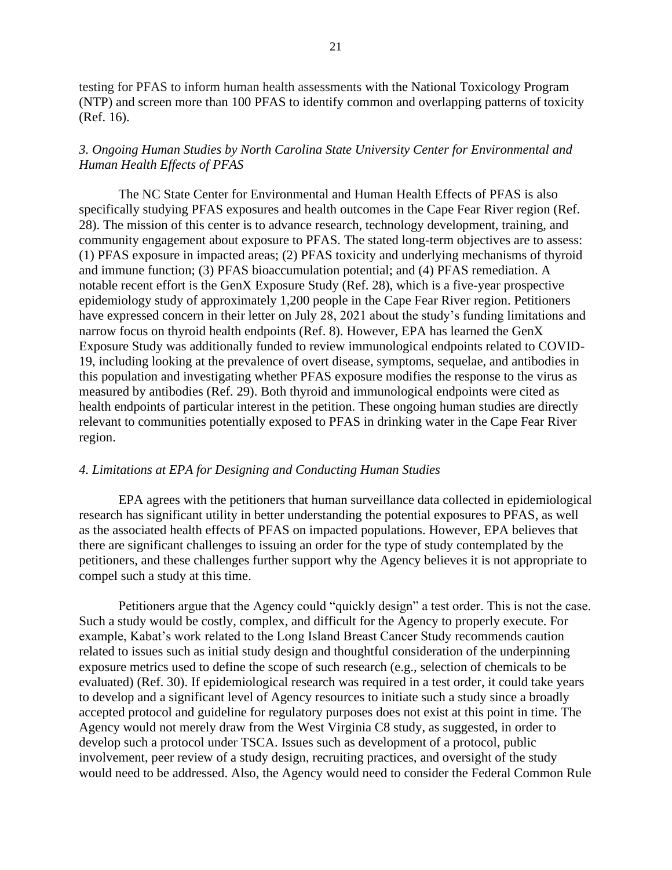testing for PFAS to inform human health assessments with the National Toxicology Program (NTP) and screen more than 100 PFAS to identify common and overlapping patterns of toxicity (Ref. 16).

## *3. Ongoing Human Studies by North Carolina State University Center for Environmental and Human Health Effects of PFAS*

The NC State Center for Environmental and Human Health Effects of PFAS is also specifically studying PFAS exposures and health outcomes in the Cape Fear River region (Ref. 28). The mission of this center is to advance research, technology development, training, and community engagement about exposure to PFAS. The stated long-term objectives are to assess: (1) PFAS exposure in impacted areas; (2) PFAS toxicity and underlying mechanisms of thyroid and immune function; (3) PFAS bioaccumulation potential; and (4) PFAS remediation. A notable recent effort is the GenX Exposure Study (Ref. 28), which is a five-year prospective epidemiology study of approximately 1,200 people in the Cape Fear River region. Petitioners have expressed concern in their letter on July 28, 2021 about the study's funding limitations and narrow focus on thyroid health endpoints (Ref. 8). However, EPA has learned the GenX Exposure Study was additionally funded to review immunological endpoints related to COVID-19, including looking at the prevalence of overt disease, symptoms, sequelae, and antibodies in this population and investigating whether PFAS exposure modifies the response to the virus as measured by antibodies (Ref. 29). Both thyroid and immunological endpoints were cited as health endpoints of particular interest in the petition. These ongoing human studies are directly relevant to communities potentially exposed to PFAS in drinking water in the Cape Fear River region.

#### *4. Limitations at EPA for Designing and Conducting Human Studies*

EPA agrees with the petitioners that human surveillance data collected in epidemiological research has significant utility in better understanding the potential exposures to PFAS, as well as the associated health effects of PFAS on impacted populations. However, EPA believes that there are significant challenges to issuing an order for the type of study contemplated by the petitioners, and these challenges further support why the Agency believes it is not appropriate to compel such a study at this time.

Petitioners argue that the Agency could "quickly design" a test order. This is not the case. Such a study would be costly, complex, and difficult for the Agency to properly execute. For example, Kabat's work related to the Long Island Breast Cancer Study recommends caution related to issues such as initial study design and thoughtful consideration of the underpinning exposure metrics used to define the scope of such research (e.g., selection of chemicals to be evaluated) (Ref. 30). If epidemiological research was required in a test order, it could take years to develop and a significant level of Agency resources to initiate such a study since a broadly accepted protocol and guideline for regulatory purposes does not exist at this point in time. The Agency would not merely draw from the West Virginia C8 study, as suggested, in order to develop such a protocol under TSCA. Issues such as development of a protocol, public involvement, peer review of a study design, recruiting practices, and oversight of the study would need to be addressed. Also, the Agency would need to consider the Federal Common Rule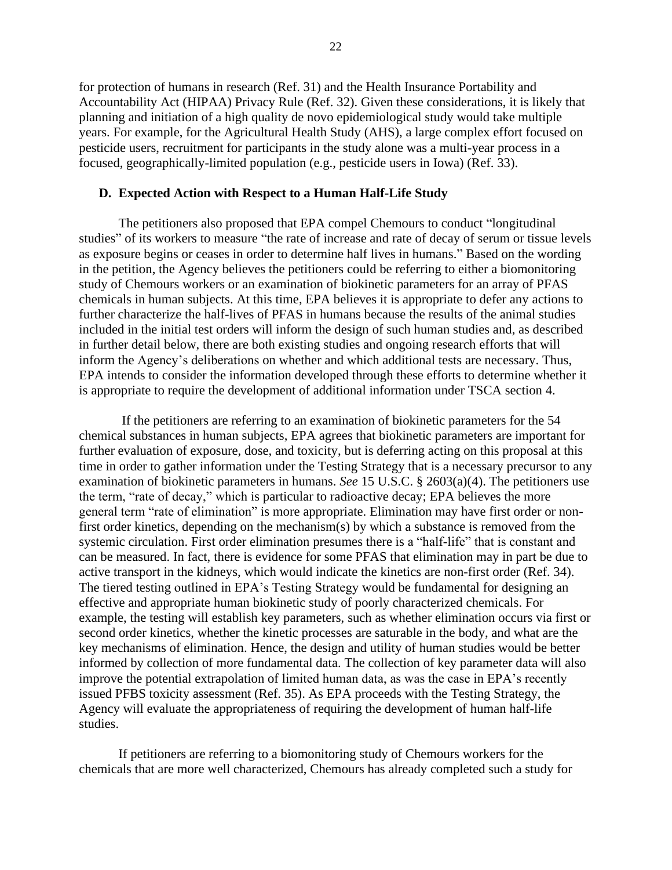for protection of humans in research (Ref. 31) and the Health Insurance Portability and Accountability Act (HIPAA) Privacy Rule (Ref. 32). Given these considerations, it is likely that planning and initiation of a high quality de novo epidemiological study would take multiple years. For example, for the Agricultural Health Study (AHS), a large complex effort focused on pesticide users, recruitment for participants in the study alone was a multi-year process in a focused, geographically-limited population (e.g., pesticide users in Iowa) (Ref. 33).

#### **D. Expected Action with Respect to a Human Half-Life Study**

The petitioners also proposed that EPA compel Chemours to conduct "longitudinal studies" of its workers to measure "the rate of increase and rate of decay of serum or tissue levels as exposure begins or ceases in order to determine half lives in humans." Based on the wording in the petition, the Agency believes the petitioners could be referring to either a biomonitoring study of Chemours workers or an examination of biokinetic parameters for an array of PFAS chemicals in human subjects. At this time, EPA believes it is appropriate to defer any actions to further characterize the half-lives of PFAS in humans because the results of the animal studies included in the initial test orders will inform the design of such human studies and, as described in further detail below, there are both existing studies and ongoing research efforts that will inform the Agency's deliberations on whether and which additional tests are necessary. Thus, EPA intends to consider the information developed through these efforts to determine whether it is appropriate to require the development of additional information under TSCA section 4.

If the petitioners are referring to an examination of biokinetic parameters for the 54 chemical substances in human subjects, EPA agrees that biokinetic parameters are important for further evaluation of exposure, dose, and toxicity, but is deferring acting on this proposal at this time in order to gather information under the Testing Strategy that is a necessary precursor to any examination of biokinetic parameters in humans. *See* 15 U.S.C. § 2603(a)(4). The petitioners use the term, "rate of decay," which is particular to radioactive decay; EPA believes the more general term "rate of elimination" is more appropriate. Elimination may have first order or nonfirst order kinetics, depending on the mechanism(s) by which a substance is removed from the systemic circulation. First order elimination presumes there is a "half-life" that is constant and can be measured. In fact, there is evidence for some PFAS that elimination may in part be due to active transport in the kidneys, which would indicate the kinetics are non-first order (Ref. 34). The tiered testing outlined in EPA's Testing Strategy would be fundamental for designing an effective and appropriate human biokinetic study of poorly characterized chemicals. For example, the testing will establish key parameters, such as whether elimination occurs via first or second order kinetics, whether the kinetic processes are saturable in the body, and what are the key mechanisms of elimination. Hence, the design and utility of human studies would be better informed by collection of more fundamental data. The collection of key parameter data will also improve the potential extrapolation of limited human data, as was the case in EPA's recently issued PFBS toxicity assessment (Ref. 35). As EPA proceeds with the Testing Strategy, the Agency will evaluate the appropriateness of requiring the development of human half-life studies.

If petitioners are referring to a biomonitoring study of Chemours workers for the chemicals that are more well characterized, Chemours has already completed such a study for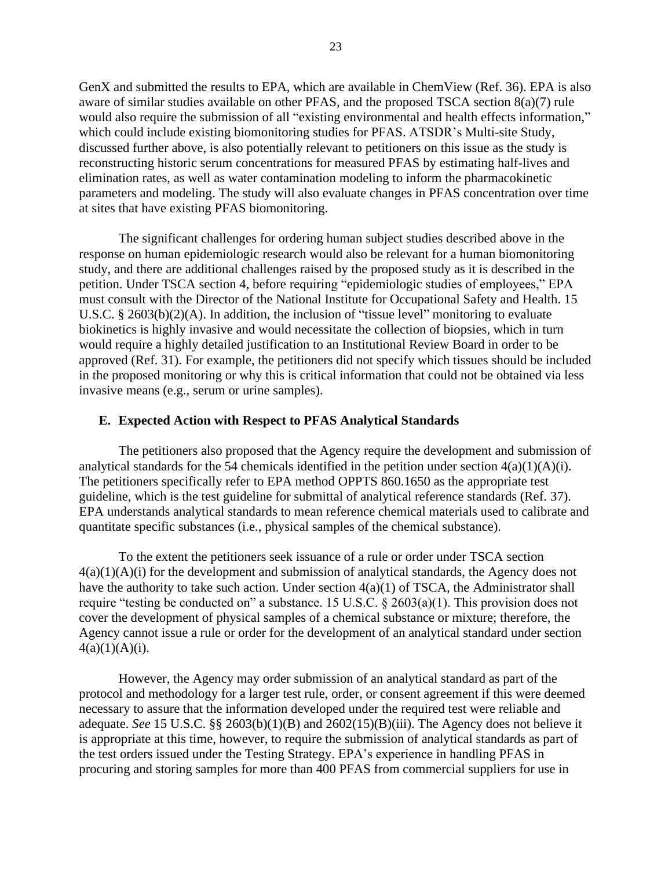GenX and submitted the results to EPA, which are available in ChemView (Ref. 36). EPA is also aware of similar studies available on other PFAS, and the proposed TSCA section 8(a)(7) rule would also require the submission of all "existing environmental and health effects information," which could include existing biomonitoring studies for PFAS. ATSDR's Multi-site Study, discussed further above, is also potentially relevant to petitioners on this issue as the study is reconstructing historic serum concentrations for measured PFAS by estimating half-lives and elimination rates, as well as water contamination modeling to inform the pharmacokinetic parameters and modeling. The study will also evaluate changes in PFAS concentration over time at sites that have existing PFAS biomonitoring.

The significant challenges for ordering human subject studies described above in the response on human epidemiologic research would also be relevant for a human biomonitoring study, and there are additional challenges raised by the proposed study as it is described in the petition. Under TSCA section 4, before requiring "epidemiologic studies of employees," EPA must consult with the Director of the National Institute for Occupational Safety and Health. 15 U.S.C. § 2603(b)(2)(A). In addition, the inclusion of "tissue level" monitoring to evaluate biokinetics is highly invasive and would necessitate the collection of biopsies, which in turn would require a highly detailed justification to an Institutional Review Board in order to be approved (Ref. 31). For example, the petitioners did not specify which tissues should be included in the proposed monitoring or why this is critical information that could not be obtained via less invasive means (e.g., serum or urine samples).

#### **E. Expected Action with Respect to PFAS Analytical Standards**

The petitioners also proposed that the Agency require the development and submission of analytical standards for the 54 chemicals identified in the petition under section  $4(a)(1)(A)(i)$ . The petitioners specifically refer to EPA method OPPTS 860.1650 as the appropriate test guideline, which is the test guideline for submittal of analytical reference standards (Ref. 37). EPA understands analytical standards to mean reference chemical materials used to calibrate and quantitate specific substances (i.e., physical samples of the chemical substance).

To the extent the petitioners seek issuance of a rule or order under TSCA section  $4(a)(1)(A)(i)$  for the development and submission of analytical standards, the Agency does not have the authority to take such action. Under section  $4(a)(1)$  of TSCA, the Administrator shall require "testing be conducted on" a substance. 15 U.S.C. § 2603(a)(1). This provision does not cover the development of physical samples of a chemical substance or mixture; therefore, the Agency cannot issue a rule or order for the development of an analytical standard under section  $4(a)(1)(A)(i)$ .

However, the Agency may order submission of an analytical standard as part of the protocol and methodology for a larger test rule, order, or consent agreement if this were deemed necessary to assure that the information developed under the required test were reliable and adequate. *See* 15 U.S.C. §§ 2603(b)(1)(B) and 2602(15)(B)(iii). The Agency does not believe it is appropriate at this time, however, to require the submission of analytical standards as part of the test orders issued under the Testing Strategy. EPA's experience in handling PFAS in procuring and storing samples for more than 400 PFAS from commercial suppliers for use in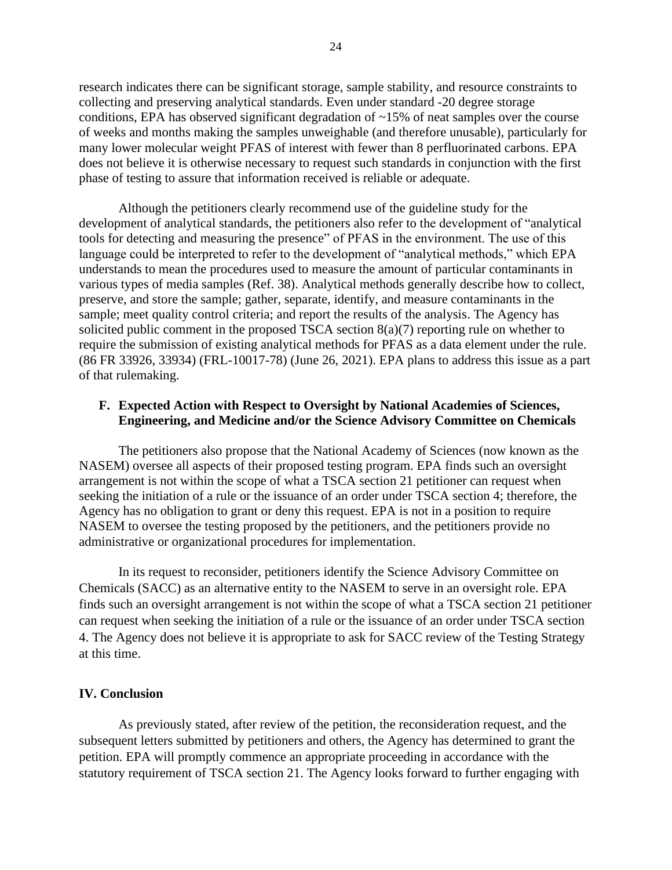research indicates there can be significant storage, sample stability, and resource constraints to collecting and preserving analytical standards. Even under standard -20 degree storage conditions, EPA has observed significant degradation of ~15% of neat samples over the course of weeks and months making the samples unweighable (and therefore unusable), particularly for many lower molecular weight PFAS of interest with fewer than 8 perfluorinated carbons. EPA does not believe it is otherwise necessary to request such standards in conjunction with the first phase of testing to assure that information received is reliable or adequate.

Although the petitioners clearly recommend use of the guideline study for the development of analytical standards, the petitioners also refer to the development of "analytical tools for detecting and measuring the presence" of PFAS in the environment. The use of this language could be interpreted to refer to the development of "analytical methods," which EPA understands to mean the procedures used to measure the amount of particular contaminants in various types of media samples (Ref. 38). Analytical methods generally describe how to collect, preserve, and store the sample; gather, separate, identify, and measure contaminants in the sample; meet quality control criteria; and report the results of the analysis. The Agency has solicited public comment in the proposed TSCA section 8(a)(7) reporting rule on whether to require the submission of existing analytical methods for PFAS as a data element under the rule. (86 FR 33926, 33934) (FRL-10017-78) (June 26, 2021). EPA plans to address this issue as a part of that rulemaking.

# **F. Expected Action with Respect to Oversight by National Academies of Sciences, Engineering, and Medicine and/or the Science Advisory Committee on Chemicals**

The petitioners also propose that the National Academy of Sciences (now known as the NASEM) oversee all aspects of their proposed testing program. EPA finds such an oversight arrangement is not within the scope of what a TSCA section 21 petitioner can request when seeking the initiation of a rule or the issuance of an order under TSCA section 4; therefore, the Agency has no obligation to grant or deny this request. EPA is not in a position to require NASEM to oversee the testing proposed by the petitioners, and the petitioners provide no administrative or organizational procedures for implementation.

In its request to reconsider, petitioners identify the Science Advisory Committee on Chemicals (SACC) as an alternative entity to the NASEM to serve in an oversight role. EPA finds such an oversight arrangement is not within the scope of what a TSCA section 21 petitioner can request when seeking the initiation of a rule or the issuance of an order under TSCA section 4. The Agency does not believe it is appropriate to ask for SACC review of the Testing Strategy at this time.

#### **IV. Conclusion**

As previously stated, after review of the petition, the reconsideration request, and the subsequent letters submitted by petitioners and others, the Agency has determined to grant the petition. EPA will promptly commence an appropriate proceeding in accordance with the statutory requirement of TSCA section 21. The Agency looks forward to further engaging with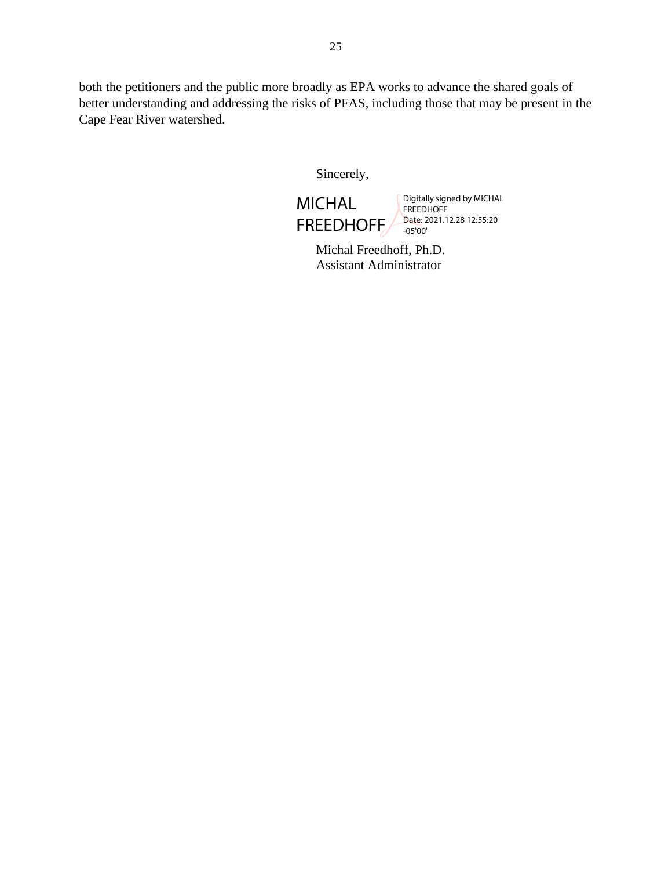both the petitioners and the public more broadly as EPA works to advance the shared goals of better understanding and addressing the risks of PFAS, including those that may be present in the Cape Fear River watershed.

Sincerely,

MICHAL FREEDHOFF Digitally signed by MICHAL FREEDHOFF Date: 2021.12.28 12:55:20 -05'00'

Michal Freedhoff, Ph.D. Assistant Administrator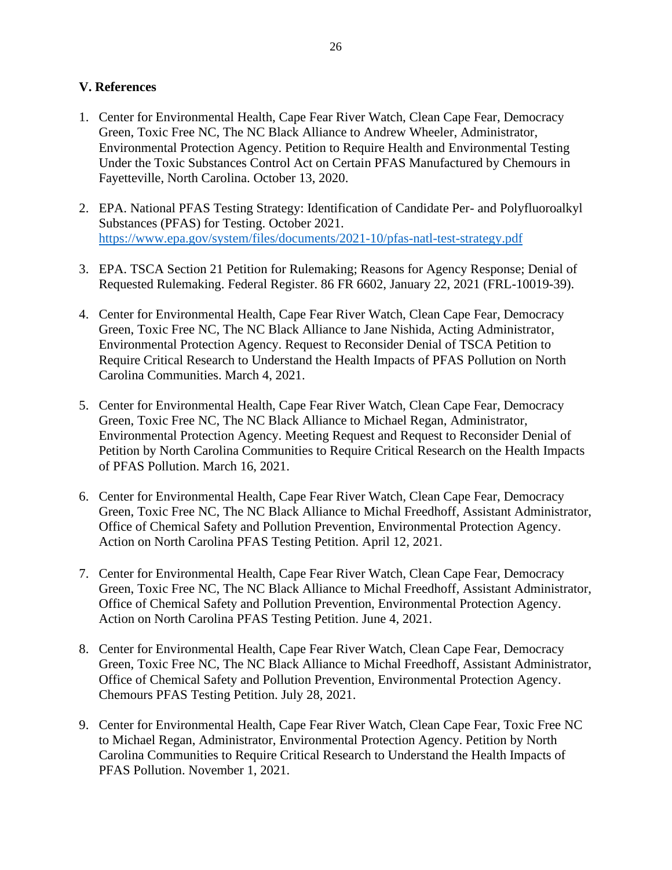# **V. References**

- 1. Center for Environmental Health, Cape Fear River Watch, Clean Cape Fear, Democracy Green, Toxic Free NC, The NC Black Alliance to Andrew Wheeler, Administrator, Environmental Protection Agency. Petition to Require Health and Environmental Testing Under the Toxic Substances Control Act on Certain PFAS Manufactured by Chemours in Fayetteville, North Carolina. October 13, 2020.
- 2. EPA. National PFAS Testing Strategy: Identification of Candidate Per- and Polyfluoroalkyl Substances (PFAS) for Testing. October 2021. <https://www.epa.gov/system/files/documents/2021-10/pfas-natl-test-strategy.pdf>
- 3. EPA. TSCA Section 21 Petition for Rulemaking; Reasons for Agency Response; Denial of Requested Rulemaking. Federal Register. 86 FR 6602, January 22, 2021 (FRL-10019-39).
- 4. Center for Environmental Health, Cape Fear River Watch, Clean Cape Fear, Democracy Green, Toxic Free NC, The NC Black Alliance to Jane Nishida, Acting Administrator, Environmental Protection Agency. Request to Reconsider Denial of TSCA Petition to Require Critical Research to Understand the Health Impacts of PFAS Pollution on North Carolina Communities. March 4, 2021.
- 5. Center for Environmental Health, Cape Fear River Watch, Clean Cape Fear, Democracy Green, Toxic Free NC, The NC Black Alliance to Michael Regan, Administrator, Environmental Protection Agency. Meeting Request and Request to Reconsider Denial of Petition by North Carolina Communities to Require Critical Research on the Health Impacts of PFAS Pollution. March 16, 2021.
- 6. Center for Environmental Health, Cape Fear River Watch, Clean Cape Fear, Democracy Green, Toxic Free NC, The NC Black Alliance to Michal Freedhoff, Assistant Administrator, Office of Chemical Safety and Pollution Prevention, Environmental Protection Agency. Action on North Carolina PFAS Testing Petition. April 12, 2021.
- 7. Center for Environmental Health, Cape Fear River Watch, Clean Cape Fear, Democracy Green, Toxic Free NC, The NC Black Alliance to Michal Freedhoff, Assistant Administrator, Office of Chemical Safety and Pollution Prevention, Environmental Protection Agency. Action on North Carolina PFAS Testing Petition. June 4, 2021.
- 8. Center for Environmental Health, Cape Fear River Watch, Clean Cape Fear, Democracy Green, Toxic Free NC, The NC Black Alliance to Michal Freedhoff, Assistant Administrator, Office of Chemical Safety and Pollution Prevention, Environmental Protection Agency. Chemours PFAS Testing Petition. July 28, 2021.
- 9. Center for Environmental Health, Cape Fear River Watch, Clean Cape Fear, Toxic Free NC to Michael Regan, Administrator, Environmental Protection Agency. Petition by North Carolina Communities to Require Critical Research to Understand the Health Impacts of PFAS Pollution. November 1, 2021.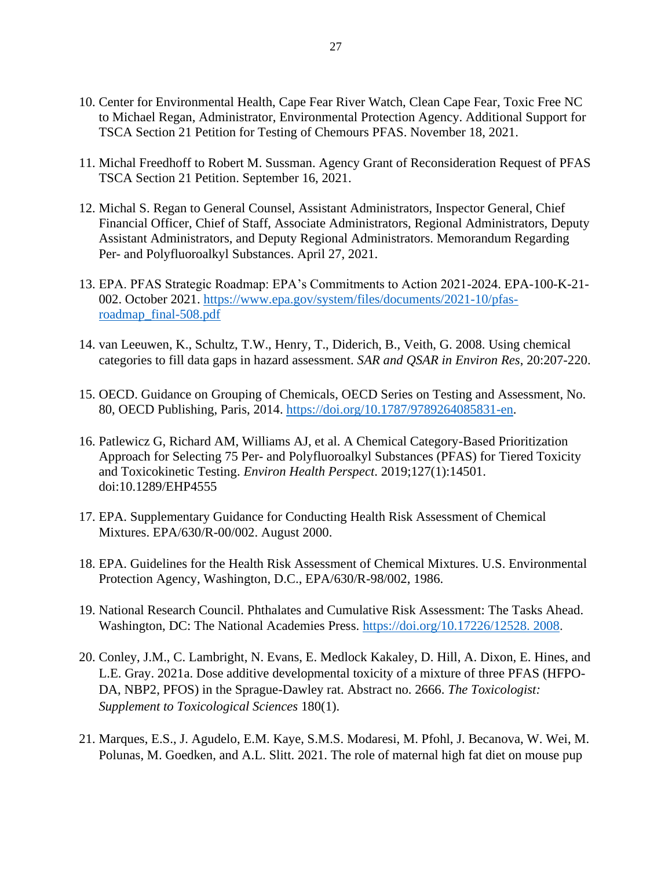- 10. Center for Environmental Health, Cape Fear River Watch, Clean Cape Fear, Toxic Free NC to Michael Regan, Administrator, Environmental Protection Agency. Additional Support for TSCA Section 21 Petition for Testing of Chemours PFAS. November 18, 2021.
- 11. Michal Freedhoff to Robert M. Sussman. Agency Grant of Reconsideration Request of PFAS TSCA Section 21 Petition. September 16, 2021.
- 12. Michal S. Regan to General Counsel, Assistant Administrators, Inspector General, Chief Financial Officer, Chief of Staff, Associate Administrators, Regional Administrators, Deputy Assistant Administrators, and Deputy Regional Administrators. Memorandum Regarding Per- and Polyfluoroalkyl Substances. April 27, 2021.
- 13. EPA. PFAS Strategic Roadmap: EPA's Commitments to Action 2021-2024. EPA-100-K-21- 002. October 2021. [https://www.epa.gov/system/files/documents/2021-10/pfas](https://www.epa.gov/system/files/documents/2021-10/pfas-roadmap_final-508.pdf)[roadmap\\_final-508.pdf](https://www.epa.gov/system/files/documents/2021-10/pfas-roadmap_final-508.pdf)
- 14. van Leeuwen, K., Schultz, T.W., Henry, T., Diderich, B., Veith, G. 2008. Using chemical categories to fill data gaps in hazard assessment. *SAR and QSAR in Environ Res*, 20:207-220.
- 15. OECD. Guidance on Grouping of Chemicals, OECD Series on Testing and Assessment, No. 80, OECD Publishing, Paris, 2014. [https://doi.org/10.1787/9789264085831-en.](https://doi.org/10.1787/9789264085831-en)
- 16. Patlewicz G, Richard AM, Williams AJ, et al. A Chemical Category-Based Prioritization Approach for Selecting 75 Per- and Polyfluoroalkyl Substances (PFAS) for Tiered Toxicity and Toxicokinetic Testing. *Environ Health Perspect*. 2019;127(1):14501. doi:10.1289/EHP4555
- 17. EPA. Supplementary Guidance for Conducting Health Risk Assessment of Chemical Mixtures. EPA/630/R-00/002. August 2000.
- 18. EPA. Guidelines for the Health Risk Assessment of Chemical Mixtures. U.S. Environmental Protection Agency, Washington, D.C., EPA/630/R-98/002, 1986.
- 19. National Research Council. Phthalates and Cumulative Risk Assessment: The Tasks Ahead. Washington, DC: The National Academies Press. [https://doi.org/10.17226/12528. 2008.](https://doi.org/10.17226/12528.%202008)
- 20. Conley, J.M., C. Lambright, N. Evans, E. Medlock Kakaley, D. Hill, A. Dixon, E. Hines, and L.E. Gray. 2021a. Dose additive developmental toxicity of a mixture of three PFAS (HFPO-DA, NBP2, PFOS) in the Sprague-Dawley rat. Abstract no. 2666. *The Toxicologist: Supplement to Toxicological Sciences* 180(1).
- 21. Marques, E.S., J. Agudelo, E.M. Kaye, S.M.S. Modaresi, M. Pfohl, J. Becanova, W. Wei, M. Polunas, M. Goedken, and A.L. Slitt. 2021. The role of maternal high fat diet on mouse pup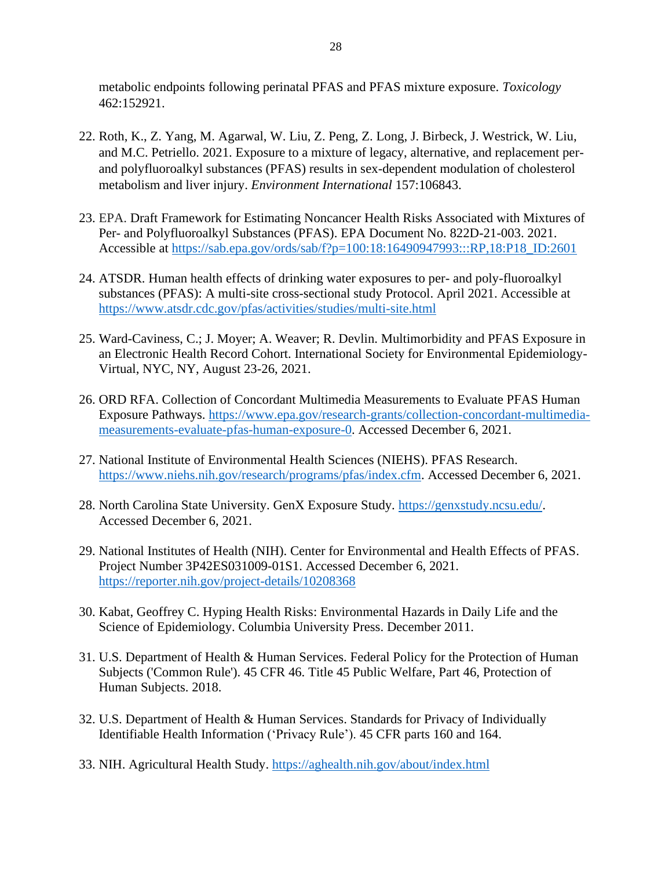metabolic endpoints following perinatal PFAS and PFAS mixture exposure. *Toxicology* 462:152921.

- 22. Roth, K., Z. Yang, M. Agarwal, W. Liu, Z. Peng, Z. Long, J. Birbeck, J. Westrick, W. Liu, and M.C. Petriello. 2021. Exposure to a mixture of legacy, alternative, and replacement perand polyfluoroalkyl substances (PFAS) results in sex-dependent modulation of cholesterol metabolism and liver injury. *Environment International* 157:106843.
- 23. EPA. Draft Framework for Estimating Noncancer Health Risks Associated with Mixtures of Per- and Polyfluoroalkyl Substances (PFAS). EPA Document No. 822D-21-003. 2021. Accessible at [https://sab.epa.gov/ords/sab/f?p=100:18:16490947993:::RP,18:P18\\_ID:2601](https://sab.epa.gov/ords/sab/f?p=100:18:16490947993:::RP,18:P18_ID:2601)
- 24. ATSDR. Human health effects of drinking water exposures to per- and poly-fluoroalkyl substances (PFAS): A multi-site cross-sectional study Protocol. April 2021. Accessible at <https://www.atsdr.cdc.gov/pfas/activities/studies/multi-site.html>
- 25. Ward-Caviness, C.; J. Moyer; A. Weaver; R. Devlin. Multimorbidity and PFAS Exposure in an Electronic Health Record Cohort. International Society for Environmental Epidemiology-Virtual, NYC, NY, August 23-26, 2021.
- 26. ORD RFA. Collection of Concordant Multimedia Measurements to Evaluate PFAS Human Exposure Pathways. [https://www.epa.gov/research-grants/collection-concordant-multimedia](https://www.epa.gov/research-grants/collection-concordant-multimedia-measurements-evaluate-pfas-human-exposure-0)[measurements-evaluate-pfas-human-exposure-0.](https://www.epa.gov/research-grants/collection-concordant-multimedia-measurements-evaluate-pfas-human-exposure-0) Accessed December 6, 2021.
- 27. National Institute of Environmental Health Sciences (NIEHS). PFAS Research. [https://www.niehs.nih.gov/research/programs/pfas/index.cfm.](https://www.niehs.nih.gov/research/programs/pfas/index.cfm) Accessed December 6, 2021.
- 28. North Carolina State University. GenX Exposure Study. [https://genxstudy.ncsu.edu/.](https://genxstudy.ncsu.edu/) Accessed December 6, 2021.
- 29. National Institutes of Health (NIH). Center for Environmental and Health Effects of PFAS. Project Number 3P42ES031009-01S1. Accessed December 6, 2021. <https://reporter.nih.gov/project-details/10208368>
- 30. Kabat, Geoffrey C. Hyping Health Risks: Environmental Hazards in Daily Life and the Science of Epidemiology. Columbia University Press. December 2011.
- 31. U.S. Department of Health & Human Services. Federal Policy for the Protection of Human Subjects ('Common Rule'). 45 CFR 46. Title 45 Public Welfare, Part 46, Protection of Human Subjects. 2018.
- 32. U.S. Department of Health & Human Services. Standards for Privacy of Individually Identifiable Health Information ('Privacy Rule'). 45 CFR parts 160 and 164.
- 33. NIH. Agricultural Health Study.<https://aghealth.nih.gov/about/index.html>